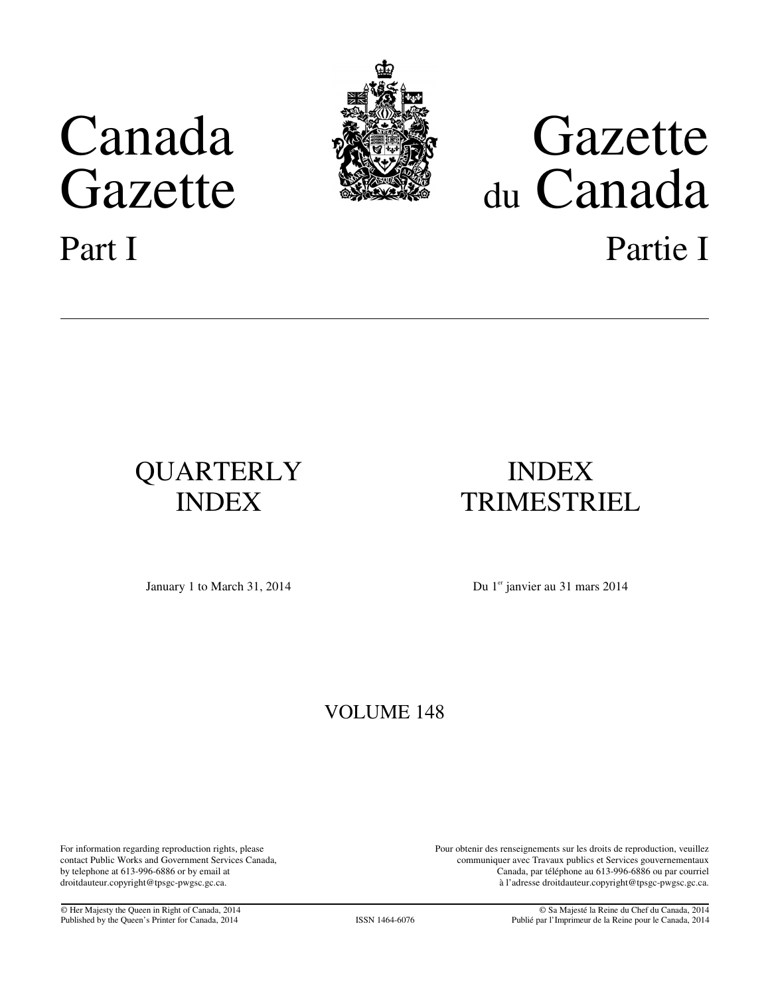

## Canada **Gazette**<br>Gazette Sanada du Canada Part I Partie I

# QUARTERLY INDEX

## INDEX TRIMESTRIEL

January 1 to March 31, 2014 Du 1<sup>er</sup> janvier au 31 mars 2014

### VOLUME 148

by telephone at 613-996-6886 or by email at For information regarding reproduction rights, please contact Public Works and Government Services Canada, droitdauteur.copyright@tpsgc-pwgsc.gc.ca.

Pour obtenir des renseignements sur les droits de reproduction, veuillez communiquer avec Travaux publics et Services gouvernementaux Canada, par téléphone au 613-996-6886 ou par courriel à l'adresse droitdauteur.copyright@tpsgc-pwgsc.gc.ca.

© Her Majesty the Queen in Right of Canada, 2014 © Sa Majesté la Reine du Chef du Canada, 2014 Publié par l'Imprimeur de la Reine pour le Canada, 2014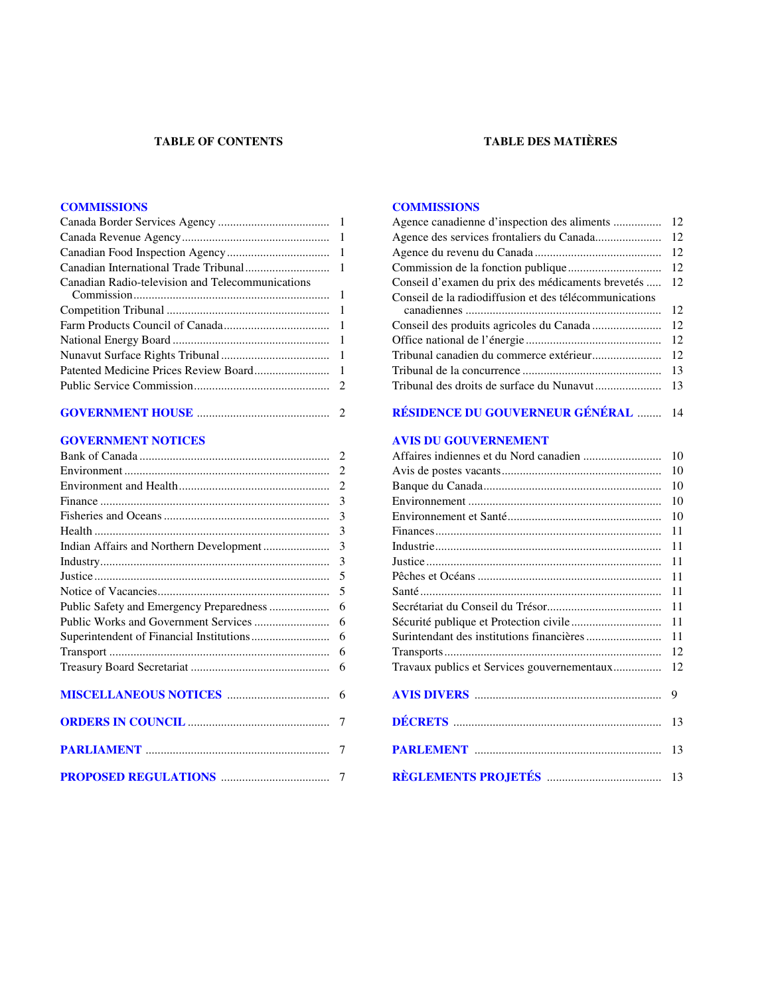#### **TABLE OF CONTENTS**

#### **TABLE DES MATIÈRES**

#### **[COMMISSIONS](#page-2-0)**

| Canadian Radio-television and Telecommunications |  |
|--------------------------------------------------|--|
|                                                  |  |
|                                                  |  |
|                                                  |  |
|                                                  |  |
|                                                  |  |
|                                                  |  |

|--|--|

#### **[GOVERNMENT NOTICES](#page-3-0)**

|                               | 3             |
|-------------------------------|---------------|
|                               | 3             |
|                               | $\mathcal{F}$ |
|                               | 3             |
|                               | 3             |
|                               | .5            |
|                               |               |
|                               | 6             |
|                               |               |
|                               | 6             |
|                               | 6             |
|                               | 6             |
| <b>MISCELLANEOUS NOTICES </b> | 6             |
|                               |               |
|                               | 7             |
|                               | 7             |

#### **[COMMISSIONS](#page-13-0)**

| Agence canadienne d'inspection des aliments            | 12 |
|--------------------------------------------------------|----|
| Agence des services frontaliers du Canada              | 12 |
|                                                        | 12 |
|                                                        | 12 |
| Conseil d'examen du prix des médicaments brevetés      | 12 |
| Conseil de la radiodiffusion et des télécommunications |    |
|                                                        | 12 |
|                                                        | 12 |
|                                                        | 12 |
| Tribunal canadien du commerce extérieur                | 12 |
|                                                        | 13 |
|                                                        | 13 |
|                                                        |    |
| <b>RÉSIDENCE DU GOUVERNEUR GÉNÉRAL </b>                | 14 |
| <b>AVIS DU GOUVERNEMENT</b>                            |    |
|                                                        | 10 |
|                                                        | 10 |
|                                                        | 10 |
|                                                        | 10 |
|                                                        | 10 |
|                                                        | 11 |
|                                                        | 11 |
|                                                        | 11 |
|                                                        | 11 |
|                                                        | 11 |
|                                                        | 11 |
|                                                        | 11 |
|                                                        | 11 |
|                                                        |    |
|                                                        | 12 |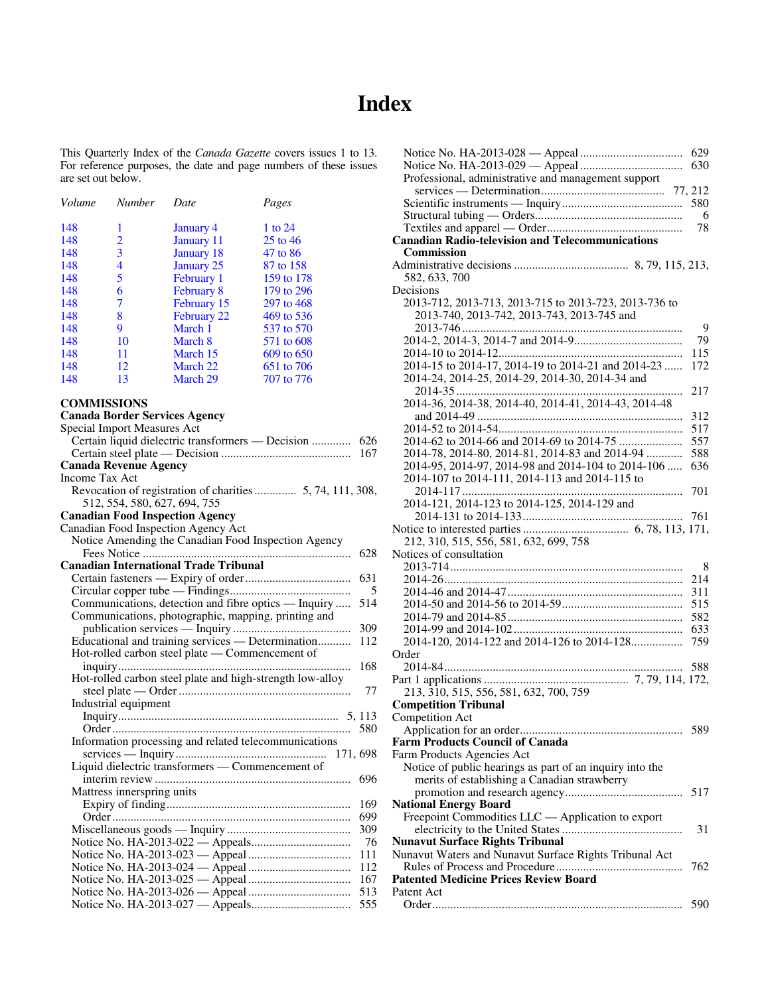## **Index**

<span id="page-2-0"></span> $\overline{a}$ This Quarterly Index of the *Canada Gazette* covers issues 1 to 13. For reference purposes, the date and page numbers of these issues are set out below.

| Volume | <b>Number</b> | Date              | Pages      |
|--------|---------------|-------------------|------------|
| 148    | 1             | <b>January 4</b>  | 1 to 24    |
| 148    | 2             | January 11        | 25 to 46   |
| 148    | 3             | January 18        | 47 to 86   |
| 148    | 4             | January 25        | 87 to 158  |
| 148    | 5             | February 1        | 159 to 178 |
| 148    | 6             | <b>February 8</b> | 179 to 296 |
| 148    | 7             | February 15       | 297 to 468 |
| 148    | 8             | February 22       | 469 to 536 |
| 148    | 9             | March 1           | 537 to 570 |
| 148    | 10            | March 8           | 571 to 608 |
| 148    | 11            | March 15          | 609 to 650 |
| 148    | 12            | March 22          | 651 to 706 |
| 148    | 13            | March 29          | 707 to 776 |

| <b>COMMISSIONS</b>                                                                       |
|------------------------------------------------------------------------------------------|
| <b>Canada Border Services Agency</b>                                                     |
| Special Import Measures Act                                                              |
| Certain liquid dielectric transformers — Decision<br>626                                 |
| 167                                                                                      |
| <b>Canada Revenue Agency</b>                                                             |
| <b>Income Tax Act</b>                                                                    |
| Revocation of registration of charities 5, 74, 111, 308,<br>512, 554, 580, 627, 694, 755 |
| <b>Canadian Food Inspection Agency</b>                                                   |
| Canadian Food Inspection Agency Act                                                      |
| Notice Amending the Canadian Food Inspection Agency                                      |
| 628                                                                                      |
| <b>Canadian International Trade Tribunal</b>                                             |
| 631                                                                                      |
| 5                                                                                        |
| Communications, detection and fibre optics — Inquiry<br>514                              |
| Communications, photographic, mapping, printing and                                      |
| 309                                                                                      |
| Educational and training services - Determination<br>112                                 |
| Hot-rolled carbon steel plate - Commencement of                                          |
| 168                                                                                      |
| Hot-rolled carbon steel plate and high-strength low-alloy                                |
| 77                                                                                       |
| Industrial equipment                                                                     |
|                                                                                          |
| 580                                                                                      |
| Information processing and related telecommunications                                    |
|                                                                                          |
| Liquid dielectric transformers - Commencement of                                         |
| 696                                                                                      |
| Mattress innerspring units                                                               |
| 169                                                                                      |
| 699                                                                                      |
| 309                                                                                      |
| 76                                                                                       |
| 111                                                                                      |
| 112                                                                                      |
| 167                                                                                      |
| 513                                                                                      |
| 555                                                                                      |

|                                                          | 629 |
|----------------------------------------------------------|-----|
|                                                          | 630 |
| Professional, administrative and management support      |     |
|                                                          |     |
|                                                          | 580 |
|                                                          | -6  |
|                                                          | 78  |
| <b>Canadian Radio-television and Telecommunications</b>  |     |
| <b>Commission</b>                                        |     |
|                                                          |     |
| 582, 633, 700                                            |     |
| Decisions                                                |     |
| 2013-712, 2013-713, 2013-715 to 2013-723, 2013-736 to    |     |
| 2013-740, 2013-742, 2013-743, 2013-745 and               |     |
|                                                          | 9   |
|                                                          | 79  |
|                                                          | 115 |
| 2014-15 to 2014-17, 2014-19 to 2014-21 and 2014-23       | 172 |
| 2014-24, 2014-25, 2014-29, 2014-30, 2014-34 and          |     |
|                                                          | 217 |
| 2014-36, 2014-38, 2014-40, 2014-41, 2014-43, 2014-48     |     |
|                                                          | 312 |
|                                                          | 517 |
|                                                          | 557 |
| 2014-78, 2014-80, 2014-81, 2014-83 and 2014-94           | 588 |
| 2014-95, 2014-97, 2014-98 and 2014-104 to 2014-106       | 636 |
| 2014-107 to 2014-111, 2014-113 and 2014-115 to           |     |
|                                                          | 701 |
| 2014-121, 2014-123 to 2014-125, 2014-129 and             |     |
|                                                          |     |
|                                                          |     |
| 212, 310, 515, 556, 581, 632, 699, 758                   |     |
| Notices of consultation                                  |     |
|                                                          | 8   |
|                                                          | 214 |
|                                                          | 311 |
|                                                          | 515 |
|                                                          | 582 |
|                                                          | 633 |
| 2014-120, 2014-122 and 2014-126 to 2014-128              | 759 |
| Order                                                    |     |
|                                                          | 588 |
|                                                          |     |
| 213, 310, 515, 556, 581, 632, 700, 759                   |     |
| <b>Competition Tribunal</b>                              |     |
| Competition Act                                          |     |
|                                                          |     |
| <b>Farm Products Council of Canada</b>                   |     |
| Farm Products Agencies Act                               |     |
| Notice of public hearings as part of an inquiry into the |     |
| merits of establishing a Canadian strawberry             |     |
|                                                          | 517 |
| <b>National Energy Board</b>                             |     |
| Freepoint Commodities LLC — Application to export        |     |
|                                                          | 31  |
| <b>Nunavut Surface Rights Tribunal</b>                   |     |
| Nunavut Waters and Nunavut Surface Rights Tribunal Act   |     |
| <b>Patented Medicine Prices Review Board</b>             | 762 |
|                                                          |     |
| Patent Act                                               |     |
|                                                          | 590 |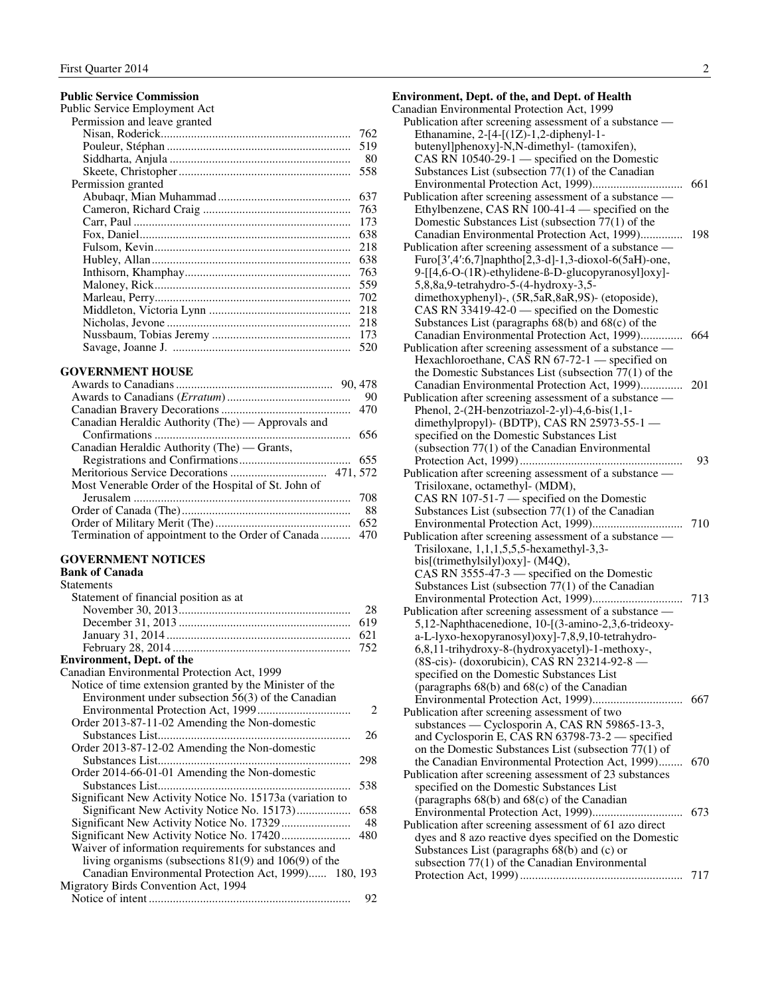#### <span id="page-3-0"></span>**Public Service Commission**

| Public Service Employment Act |     |
|-------------------------------|-----|
| Permission and leave granted  |     |
|                               | 762 |
|                               | 519 |
|                               | 80  |
|                               | 558 |
| Permission granted            |     |
|                               | 637 |
|                               | 763 |
|                               | 173 |
|                               | 638 |
|                               | 218 |
|                               | 638 |
|                               | 763 |
|                               | 559 |
|                               | 702 |
|                               | 218 |
|                               | 218 |
|                               | 173 |
|                               | 520 |
|                               |     |

#### **GOVERNMENT HOUSE**

| Canadian Heraldic Authority (The) — Approvals and   |     |
|-----------------------------------------------------|-----|
|                                                     |     |
| Canadian Heraldic Authority (The) — Grants,         |     |
|                                                     |     |
|                                                     |     |
| Most Venerable Order of the Hospital of St. John of |     |
|                                                     | 708 |
|                                                     | 88  |
|                                                     | 652 |
|                                                     |     |

#### **GOVERNMENT NOTICES**

#### **Bank of Canada Statements**

| Statement of financial position as at                     |                             |
|-----------------------------------------------------------|-----------------------------|
|                                                           | 28                          |
|                                                           | 619                         |
|                                                           | 621                         |
|                                                           | 752                         |
| <b>Environment, Dept. of the</b>                          |                             |
| Canadian Environmental Protection Act, 1999               |                             |
| Notice of time extension granted by the Minister of the   |                             |
| Environment under subsection 56(3) of the Canadian        |                             |
|                                                           | $\mathcal{D}_{\mathcal{L}}$ |
| Order 2013-87-11-02 Amending the Non-domestic             |                             |
| Substances List<br>                                       | 26                          |
| Order 2013-87-12-02 Amending the Non-domestic             |                             |
| Substances List                                           | 298                         |
| Order 2014-66-01-01 Amending the Non-domestic             |                             |
| Substances List                                           | 538                         |
| Significant New Activity Notice No. 15173a (variation to  |                             |
|                                                           | 658                         |
|                                                           | 48                          |
|                                                           | 480                         |
| Waiver of information requirements for substances and     |                             |
| living organisms (subsections $81(9)$ and $106(9)$ of the |                             |
| Canadian Environmental Protection Act, 1999) 180, 193     |                             |
| Migratory Birds Convention Act, 1994                      |                             |
|                                                           | 92                          |

| <b>Environment, Dept. of the, and Dept. of Health</b>        |     |
|--------------------------------------------------------------|-----|
| Canadian Environmental Protection Act, 1999                  |     |
| Publication after screening assessment of a substance -      |     |
| Ethanamine, 2-[4-[(1Z)-1,2-diphenyl-1-                       |     |
| butenyl]phenoxy]-N,N-dimethyl- (tamoxifen),                  |     |
| CAS RN 10540-29-1 — specified on the Domestic                |     |
| Substances List (subsection $77(1)$ of the Canadian          |     |
|                                                              | 661 |
| Publication after screening assessment of a substance —      |     |
| Ethylbenzene, CAS RN 100-41-4 — specified on the             |     |
| Domestic Substances List (subsection 77(1) of the            |     |
| Canadian Environmental Protection Act, 1999)                 | 198 |
| Publication after screening assessment of a substance -      |     |
| Furo $[3',4':6,7]$ naphtho $[2,3-d]$ -1,3-dioxol-6(5aH)-one, |     |
| 9-[[4,6-O-(1R)-ethylidene-ß-D-glucopyranosyl]oxy]-           |     |
| 5,8,8a,9-tetrahydro-5-(4-hydroxy-3,5-                        |     |
| dimethoxyphenyl)-, (5R,5aR,8aR,9S)- (etoposide),             |     |
| CAS RN 33419-42-0 — specified on the Domestic                |     |
| Substances List (paragraphs $68(b)$ and $68(c)$ of the       |     |
| Canadian Environmental Protection Act, 1999)                 | 664 |
| Publication after screening assessment of a substance -      |     |
| Hexachloroethane, CAS RN 67-72-1 - specified on              |     |
| the Domestic Substances List (subsection $77(1)$ of the      |     |
| Canadian Environmental Protection Act, 1999)                 | 201 |
| Publication after screening assessment of a substance -      |     |
| Phenol, 2-(2H-benzotriazol-2-yl)-4,6-bis(1,1-                |     |
| dimethylpropyl)- (BDTP), CAS RN 25973-55-1 -                 |     |
| specified on the Domestic Substances List                    |     |
| (subsection $77(1)$ of the Canadian Environmental            |     |
|                                                              | 93  |
| Publication after screening assessment of a substance -      |     |
| Trisiloxane, octamethyl- (MDM),                              |     |
| CAS RN 107-51-7 — specified on the Domestic                  |     |
| Substances List (subsection $77(1)$ of the Canadian          |     |
|                                                              | 710 |
| Publication after screening assessment of a substance —      |     |
| Trisiloxane, 1,1,1,5,5,5-hexamethyl-3,3-                     |     |
| bis[(trimethylsilyl)oxy]- (M4Q),                             |     |
| CAS RN $3555-47-3$ — specified on the Domestic               |     |
| Substances List (subsection $77(1)$ of the Canadian          |     |
|                                                              | 713 |
| Publication after screening assessment of a substance —      |     |
| 5,12-Naphthacenedione, 10-[(3-amino-2,3,6-trideoxy-          |     |
| a-L-lyxo-hexopyranosyl)oxy]-7,8,9,10-tetrahydro-             |     |
| 6,8,11-trihydroxy-8-(hydroxyacetyl)-1-methoxy-,              |     |
| (8S-cis)- (doxorubicin), CAS RN 23214-92-8 -                 |     |
| specified on the Domestic Substances List                    |     |
| (paragraphs 68(b) and 68(c) of the Canadian                  |     |
|                                                              | 667 |
| Publication after screening assessment of two                |     |
| substances — Cyclosporin A, CAS RN 59865-13-3,               |     |
| and Cyclosporin E, CAS RN 63798-73-2 — specified             |     |

 on the Domestic Substances List (subsection 77(1) of (paragraphs 68(b) and 68(c) of the Canadian the Canadian Environmental Protection Act, 1999)........ 670 Publication after screening assessment of 23 substances specified on the Domestic Substances List<br>(paragraphs 68(b) and 68(c) of the Canadian Environmental Protection Act, 1999).............................. 673

| Publication after screening assessment of 61 azo direct |  |
|---------------------------------------------------------|--|
| dyes and 8 azo reactive dyes specified on the Domestic  |  |
| Substances List (paragraphs $68(b)$ and (c) or          |  |
| subsection $77(1)$ of the Canadian Environmental        |  |
|                                                         |  |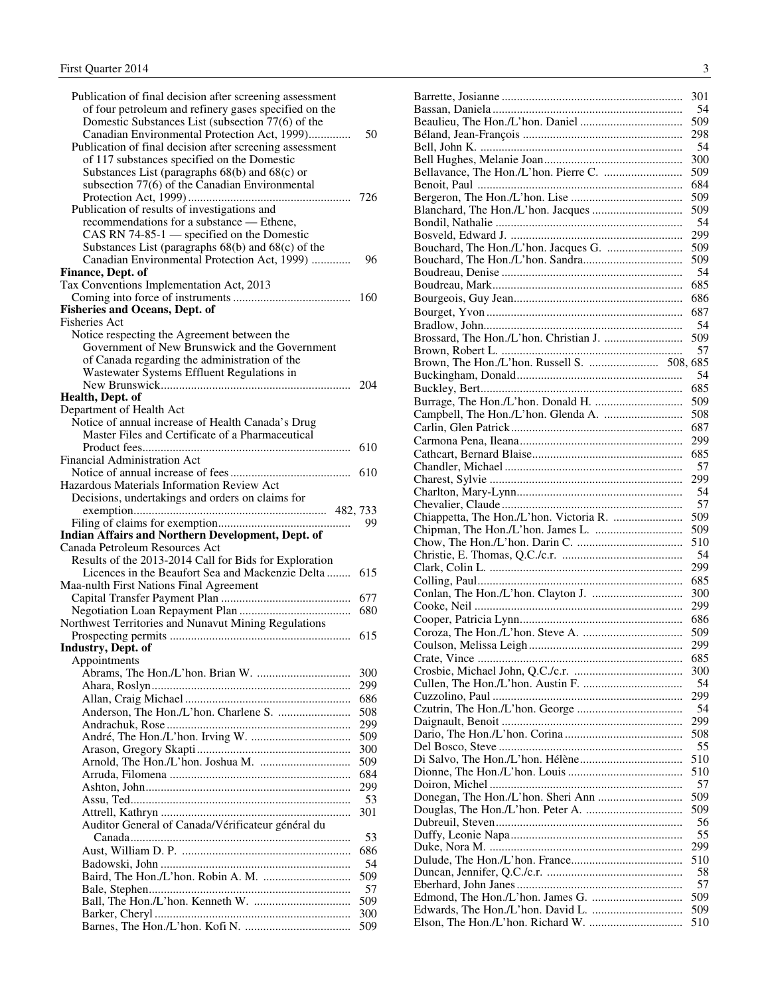| Publication of final decision after screening assessment<br>of four petroleum and refinery gases specified on the<br>Domestic Substances List (subsection 77(6) of the<br>Canadian Environmental Protection Act, 1999)<br>Publication of final decision after screening assessment<br>of 117 substances specified on the Domestic<br>Substances List (paragraphs 68(b) and 68(c) or | 50         |
|-------------------------------------------------------------------------------------------------------------------------------------------------------------------------------------------------------------------------------------------------------------------------------------------------------------------------------------------------------------------------------------|------------|
| subsection 77(6) of the Canadian Environmental<br>Publication of results of investigations and<br>recommendations for a substance — Ethene,                                                                                                                                                                                                                                         | 726        |
| CAS RN 74-85-1 - specified on the Domestic<br>Substances List (paragraphs $68(b)$ and $68(c)$ of the<br>Canadian Environmental Protection Act, 1999)<br>Finance, Dept. of                                                                                                                                                                                                           | 96         |
| Tax Conventions Implementation Act, 2013                                                                                                                                                                                                                                                                                                                                            |            |
| <b>Fisheries and Oceans, Dept. of</b>                                                                                                                                                                                                                                                                                                                                               | 160        |
| <b>Fisheries Act</b>                                                                                                                                                                                                                                                                                                                                                                |            |
| Notice respecting the Agreement between the                                                                                                                                                                                                                                                                                                                                         |            |
| Government of New Brunswick and the Government                                                                                                                                                                                                                                                                                                                                      |            |
| of Canada regarding the administration of the                                                                                                                                                                                                                                                                                                                                       |            |
| Wastewater Systems Effluent Regulations in                                                                                                                                                                                                                                                                                                                                          | 204        |
| Health, Dept. of                                                                                                                                                                                                                                                                                                                                                                    |            |
| Department of Health Act                                                                                                                                                                                                                                                                                                                                                            |            |
| Notice of annual increase of Health Canada's Drug                                                                                                                                                                                                                                                                                                                                   |            |
| Master Files and Certificate of a Pharmaceutical                                                                                                                                                                                                                                                                                                                                    |            |
|                                                                                                                                                                                                                                                                                                                                                                                     | 610        |
| <b>Financial Administration Act</b>                                                                                                                                                                                                                                                                                                                                                 |            |
| Hazardous Materials Information Review Act                                                                                                                                                                                                                                                                                                                                          | 610        |
| Decisions, undertakings and orders on claims for                                                                                                                                                                                                                                                                                                                                    |            |
|                                                                                                                                                                                                                                                                                                                                                                                     |            |
|                                                                                                                                                                                                                                                                                                                                                                                     | -99        |
| Indian Affairs and Northern Development, Dept. of                                                                                                                                                                                                                                                                                                                                   |            |
| Canada Petroleum Resources Act                                                                                                                                                                                                                                                                                                                                                      |            |
| Results of the 2013-2014 Call for Bids for Exploration                                                                                                                                                                                                                                                                                                                              |            |
| Licences in the Beaufort Sea and Mackenzie Delta                                                                                                                                                                                                                                                                                                                                    | 615        |
| Maa-nulth First Nations Final Agreement                                                                                                                                                                                                                                                                                                                                             |            |
|                                                                                                                                                                                                                                                                                                                                                                                     | 677        |
| Northwest Territories and Nunavut Mining Regulations                                                                                                                                                                                                                                                                                                                                | 680        |
|                                                                                                                                                                                                                                                                                                                                                                                     | 615        |
| Industry, Dept. of                                                                                                                                                                                                                                                                                                                                                                  |            |
| Appointments                                                                                                                                                                                                                                                                                                                                                                        |            |
|                                                                                                                                                                                                                                                                                                                                                                                     | 300        |
|                                                                                                                                                                                                                                                                                                                                                                                     | 299        |
|                                                                                                                                                                                                                                                                                                                                                                                     | 686        |
|                                                                                                                                                                                                                                                                                                                                                                                     | 508        |
|                                                                                                                                                                                                                                                                                                                                                                                     | 299        |
|                                                                                                                                                                                                                                                                                                                                                                                     | 509<br>300 |
|                                                                                                                                                                                                                                                                                                                                                                                     | 509        |
|                                                                                                                                                                                                                                                                                                                                                                                     | 684        |
|                                                                                                                                                                                                                                                                                                                                                                                     | 299        |
|                                                                                                                                                                                                                                                                                                                                                                                     | 53         |
|                                                                                                                                                                                                                                                                                                                                                                                     | 301        |
| Auditor General of Canada/Vérificateur général du                                                                                                                                                                                                                                                                                                                                   |            |
|                                                                                                                                                                                                                                                                                                                                                                                     | 53         |
|                                                                                                                                                                                                                                                                                                                                                                                     | 686        |
|                                                                                                                                                                                                                                                                                                                                                                                     | 54<br>509  |
|                                                                                                                                                                                                                                                                                                                                                                                     | 57         |
|                                                                                                                                                                                                                                                                                                                                                                                     | 509        |
|                                                                                                                                                                                                                                                                                                                                                                                     |            |
|                                                                                                                                                                                                                                                                                                                                                                                     | 300        |

| 301 |
|-----|
| 54  |
| 509 |
| 298 |
|     |
| 54  |
| 300 |
| 509 |
| 684 |
| 509 |
|     |
| 509 |
| 54  |
| 299 |
| 509 |
| 509 |
|     |
| 54  |
| 685 |
| 686 |
| 687 |
|     |
| -54 |
| 509 |
| 57  |
|     |
|     |
| 54  |
| 685 |
| 509 |
| 508 |
|     |
| 687 |
| 299 |
| 685 |
| 57  |
|     |
| 299 |
| 54  |
| 57  |
| 509 |
|     |
| 509 |
| 510 |
| 54  |
| 299 |
| 685 |
|     |
| 300 |
| 299 |
| 686 |
| 509 |
|     |
| 299 |
| 685 |
| 300 |
| 54  |
| 299 |
|     |
| 54  |
| 299 |
| 508 |
| 55  |
|     |
| 510 |
| 510 |
| 57  |
| 509 |
| 509 |
|     |
| 56  |
| 55  |
| 299 |
| 510 |
|     |
| 58  |
| 57  |
| 509 |
| 509 |
| 510 |
|     |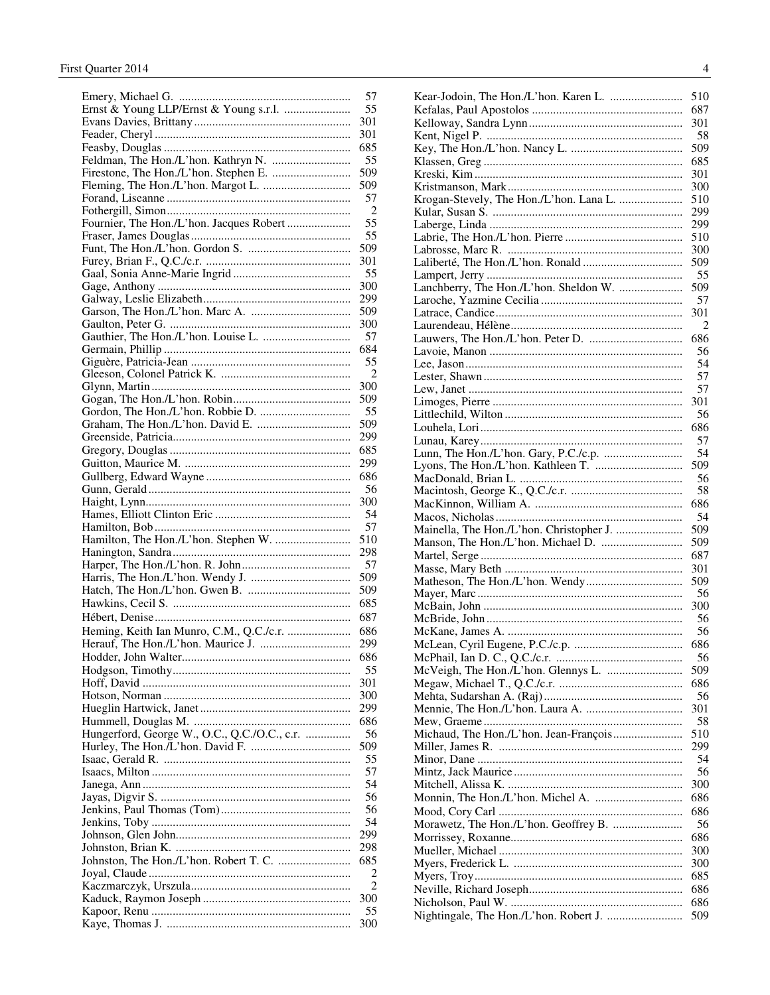|                                              | 57  |
|----------------------------------------------|-----|
| Ernst & Young LLP/Ernst & Young s.r.l.       | 55  |
|                                              | 301 |
|                                              | 301 |
|                                              | 685 |
|                                              | 55  |
|                                              | 509 |
|                                              | 509 |
|                                              | 57  |
|                                              | 2   |
| Fournier, The Hon./L'hon. Jacques Robert     | 55  |
|                                              | 55  |
|                                              | 509 |
|                                              | 301 |
|                                              |     |
|                                              | 55  |
|                                              | 300 |
|                                              | 299 |
|                                              | 509 |
|                                              | 300 |
|                                              | 57  |
|                                              | 684 |
|                                              | 55  |
|                                              | 2   |
|                                              | 300 |
|                                              | 509 |
|                                              | 55  |
|                                              | 509 |
|                                              | 299 |
|                                              | 685 |
|                                              | 299 |
|                                              | 686 |
|                                              | 56  |
|                                              |     |
|                                              | 300 |
|                                              | 54  |
|                                              | 57  |
| Hamilton, The Hon./L'hon. Stephen W.         | 510 |
|                                              | 298 |
|                                              | 57  |
|                                              | 509 |
|                                              | 509 |
|                                              | 685 |
|                                              | 687 |
| Heming, Keith Ian Munro, C.M., Q.C./c.r.     | 686 |
|                                              | 299 |
|                                              | 686 |
|                                              | 55  |
|                                              | 301 |
|                                              | 300 |
|                                              | 299 |
|                                              | 686 |
| Hungerford, George W., O.C., Q.C./O.C., c.r. | 56  |
|                                              | 509 |
|                                              |     |
|                                              |     |
|                                              | 55  |
|                                              | 57  |
|                                              | 54  |
|                                              | 56  |
|                                              | 56  |
|                                              | 54  |
|                                              | 299 |
|                                              | 298 |
|                                              | 685 |
|                                              | 2   |
|                                              |     |
|                                              | 300 |
|                                              | 55  |

|                                          | 510 |
|------------------------------------------|-----|
|                                          | 687 |
|                                          | 301 |
|                                          | 58  |
|                                          | 509 |
|                                          | 685 |
|                                          | 301 |
|                                          |     |
|                                          | 300 |
| Krogan-Stevely, The Hon./L'hon. Lana L.  | 510 |
|                                          | 299 |
|                                          | 299 |
|                                          | 510 |
|                                          | 300 |
|                                          | 509 |
|                                          | 55  |
| Lanchberry, The Hon./L'hon. Sheldon W.   | 509 |
|                                          | 57  |
|                                          | 301 |
|                                          | 2   |
|                                          | 686 |
|                                          | 56  |
|                                          | 54  |
|                                          | 57  |
|                                          | 57  |
|                                          | 301 |
|                                          | 56  |
|                                          |     |
|                                          | 686 |
|                                          | 57  |
|                                          | 54  |
|                                          | 509 |
|                                          | 56  |
|                                          | 58  |
|                                          | 686 |
|                                          | 54  |
| Mainella, The Hon./L'hon. Christopher J. | 509 |
|                                          | 509 |
|                                          | 687 |
|                                          | 301 |
|                                          | 509 |
|                                          | 56  |
|                                          | 300 |
|                                          | 56  |
|                                          | 56  |
|                                          |     |
|                                          | 686 |
|                                          | 56  |
|                                          | 509 |
|                                          | 686 |
|                                          | 56  |
|                                          | 301 |
|                                          | 58  |
|                                          | 510 |
|                                          | 299 |
|                                          | 54  |
|                                          | 56  |
|                                          | 300 |
|                                          | 686 |
|                                          | 686 |
|                                          | 56  |
|                                          | 686 |
|                                          |     |
|                                          | 300 |
|                                          | 300 |
|                                          | 685 |
|                                          | 686 |
|                                          | 686 |
|                                          | 509 |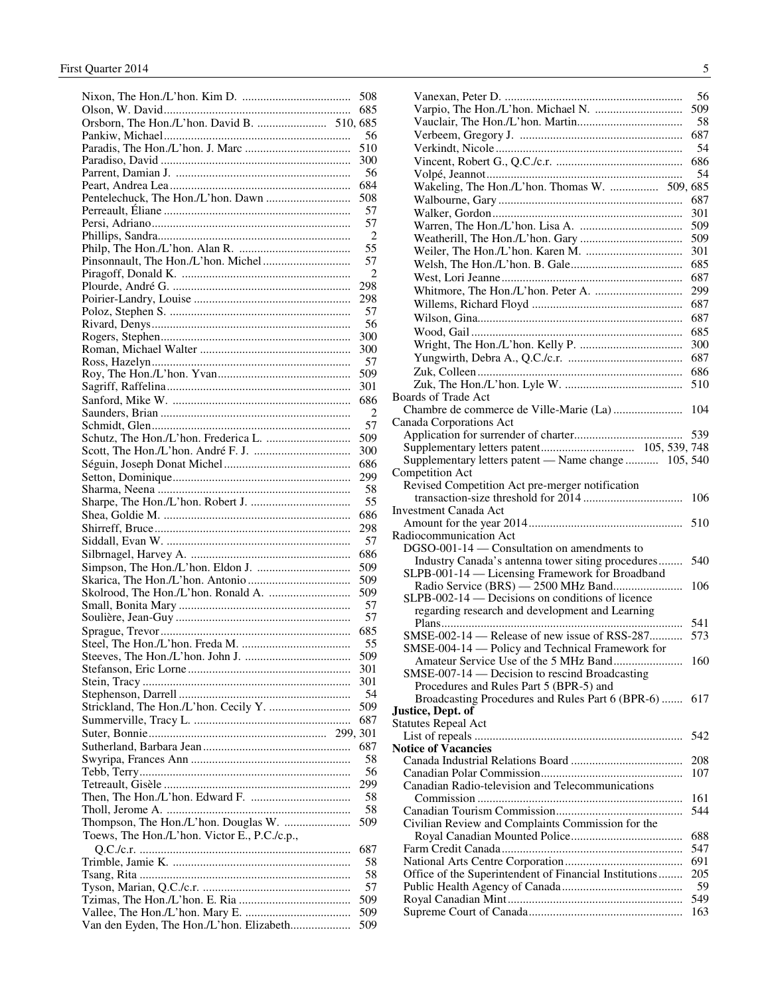|                                              | 508            |
|----------------------------------------------|----------------|
|                                              | 685            |
|                                              |                |
|                                              | 56             |
|                                              | 510            |
|                                              | 300            |
|                                              |                |
|                                              | 56             |
|                                              | 684            |
|                                              | 508            |
|                                              | 57             |
|                                              | 57             |
|                                              | 2              |
|                                              | 55             |
|                                              | 57             |
|                                              | 2              |
|                                              |                |
|                                              | 298            |
|                                              | 298            |
|                                              | 57             |
|                                              | 56             |
|                                              | 300            |
|                                              | 300            |
|                                              | 57             |
|                                              | 509            |
|                                              |                |
|                                              | 301            |
|                                              | 686            |
|                                              | $\overline{2}$ |
|                                              | 57             |
|                                              | 509            |
|                                              | 300            |
|                                              | 686            |
|                                              | 299            |
|                                              |                |
|                                              | 58             |
|                                              | 55             |
|                                              | 686            |
|                                              | 298            |
|                                              | 57             |
|                                              | 686            |
|                                              |                |
|                                              | 509            |
|                                              | 509            |
|                                              | 509            |
|                                              | 57             |
|                                              | 57             |
|                                              | 685            |
|                                              | 55             |
|                                              | 509            |
|                                              |                |
|                                              | 301            |
|                                              | 301            |
|                                              | 54             |
|                                              | 509            |
|                                              | 687            |
|                                              |                |
|                                              | 687            |
|                                              |                |
|                                              | 58             |
|                                              | 56             |
|                                              |                |
|                                              | 299            |
|                                              | 58             |
|                                              | 58             |
|                                              | 509            |
|                                              |                |
| Toews, The Hon./L'hon. Victor E., P.C./c.p., |                |
|                                              | 687            |
|                                              | 58             |
|                                              | 58             |
|                                              | 57             |
|                                              | 509            |
|                                              | 509            |

|                                                        | 56  |
|--------------------------------------------------------|-----|
|                                                        | 509 |
|                                                        | 58  |
|                                                        | 687 |
|                                                        | 54  |
|                                                        | 686 |
|                                                        | 54  |
| Wakeling, The Hon./L'hon. Thomas W.  509, 685          |     |
|                                                        | 687 |
|                                                        | 301 |
|                                                        | 509 |
|                                                        | 509 |
|                                                        | 301 |
|                                                        | 685 |
|                                                        | 687 |
|                                                        | 299 |
|                                                        | 687 |
|                                                        | 687 |
|                                                        | 685 |
|                                                        | 300 |
|                                                        | 687 |
|                                                        | 686 |
|                                                        | 510 |
| <b>Boards of Trade Act</b>                             |     |
|                                                        | 104 |
| Canada Corporations Act                                |     |
|                                                        | 539 |
|                                                        |     |
| Supplementary letters patent - Name change  105, 540   |     |
| Competition Act                                        |     |
| Revised Competition Act pre-merger notification        |     |
|                                                        | 106 |
| Investment Canada Act                                  |     |
|                                                        |     |
| Radiocommunication Act                                 |     |
| DGSO-001-14 — Consultation on amendments to            |     |
| Industry Canada's antenna tower siting procedures      | 540 |
| SLPB-001-14 — Licensing Framework for Broadband        |     |
|                                                        | 106 |
| SLPB-002-14 — Decisions on conditions of licence       |     |
| regarding research and development and Learning        |     |
|                                                        | 541 |
| SMSE-002-14 — Release of new issue of RSS-287          | 573 |
| SMSE-004-14 — Policy and Technical Framework for       |     |
|                                                        | 160 |
| SMSE-007-14 — Decision to rescind Broadcasting         |     |
| Procedures and Rules Part 5 (BPR-5) and                |     |
| Broadcasting Procedures and Rules Part 6 (BPR-6)       | 617 |
| Justice, Dept. of                                      |     |
| <b>Statutes Repeal Act</b>                             |     |
|                                                        | 542 |
| <b>Notice of Vacancies</b>                             |     |
|                                                        | 208 |
|                                                        | 107 |
| Canadian Radio-television and Telecommunications       |     |
|                                                        | 161 |
|                                                        | 544 |
| Civilian Review and Complaints Commission for the      | 688 |
|                                                        | 547 |
|                                                        | 691 |
| Office of the Superintendent of Financial Institutions | 205 |
|                                                        | 59  |
|                                                        | 549 |
|                                                        |     |
|                                                        | 163 |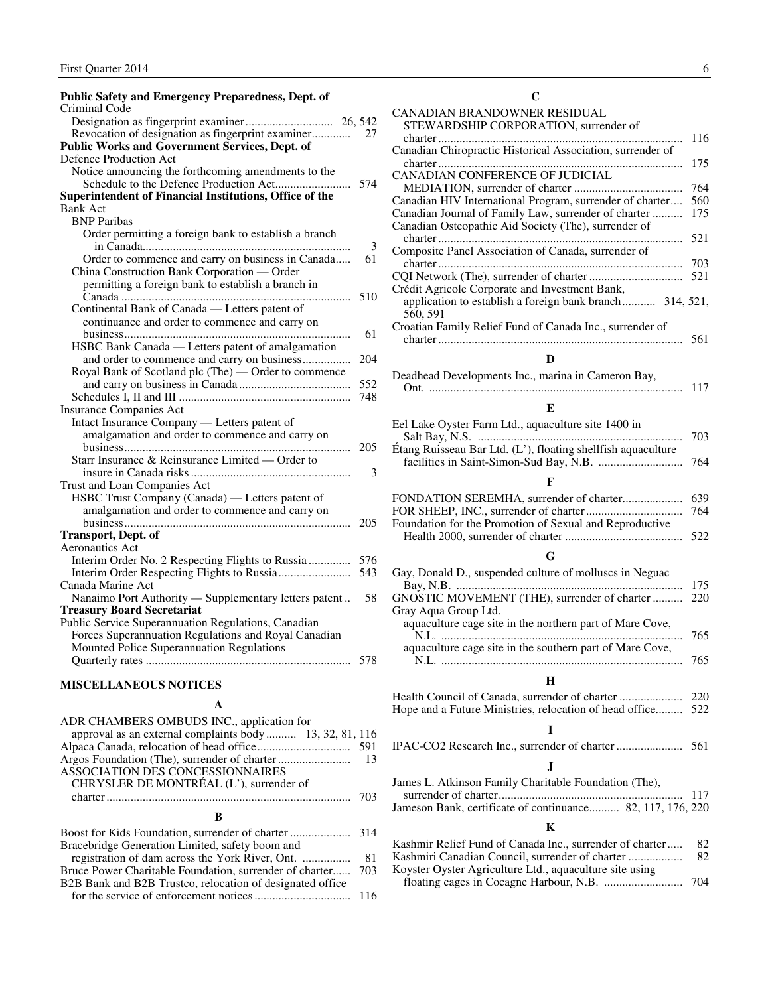<span id="page-7-0"></span>

| <b>Public Safety and Emergency Preparedness, Dept. of</b> |     | C                                               |
|-----------------------------------------------------------|-----|-------------------------------------------------|
| Criminal Code                                             |     | CANADIAN BRANDOWNER RESIDUAL                    |
|                                                           |     | STEWARDSHIP CORPORATION, surren                 |
| Revocation of designation as fingerprint examiner         | 27  |                                                 |
| <b>Public Works and Government Services, Dept. of</b>     |     | Canadian Chiropractic Historical Association    |
| Defence Production Act                                    |     |                                                 |
| Notice announcing the forthcoming amendments to the       |     | CANADIAN CONFERENCE OF JUDICIAL                 |
|                                                           | 574 | MEDIATION, surrender of charter                 |
| Superintendent of Financial Institutions, Office of the   |     | Canadian HIV International Program, surrend     |
| <b>Bank Act</b>                                           |     | Canadian Journal of Family Law, surrender o     |
| <b>BNP</b> Paribas                                        |     | Canadian Osteopathic Aid Society (The), suri    |
| Order permitting a foreign bank to establish a branch     |     |                                                 |
|                                                           | 3   | Composite Panel Association of Canada, surr     |
| Order to commence and carry on business in Canada         | 61  |                                                 |
| China Construction Bank Corporation - Order               |     | CQI Network (The), surrender of charter         |
| permitting a foreign bank to establish a branch in        |     | Crédit Agricole Corporate and Investment Ba     |
|                                                           | 510 | application to establish a foreign bank bran    |
| Continental Bank of Canada — Letters patent of            |     | 560, 591                                        |
| continuance and order to commence and carry on            |     | Croatian Family Relief Fund of Canada Inc.,     |
|                                                           | 61  |                                                 |
| HSBC Bank Canada — Letters patent of amalgamation         |     |                                                 |
| and order to commence and carry on business               | 204 | D                                               |
| Royal Bank of Scotland plc (The) — Order to commence      |     | Deadhead Developments Inc., marina in Cam       |
|                                                           | 552 |                                                 |
|                                                           | 748 |                                                 |
| <b>Insurance Companies Act</b>                            |     | E                                               |
| Intact Insurance Company — Letters patent of              |     | Eel Lake Oyster Farm Ltd., aquaculture site 1   |
| amalgamation and order to commence and carry on           |     |                                                 |
|                                                           | 205 | Étang Ruisseau Bar Ltd. (L'), floating shellfis |
| Starr Insurance & Reinsurance Limited — Order to          |     | facilities in Saint-Simon-Sud Bay, N.B.         |
|                                                           | 3   | F                                               |
| Trust and Loan Companies Act                              |     |                                                 |
| HSBC Trust Company (Canada) — Letters patent of           |     | FONDATION SEREMHA, surrender of char            |
| amalgamation and order to commence and carry on           |     | FOR SHEEP, INC., surrender of charter           |
|                                                           | 205 | Foundation for the Promotion of Sexual and I    |
| <b>Transport, Dept. of</b>                                |     | Health 2000, surrender of charter               |
| Aeronautics Act                                           |     | G                                               |
| Interim Order No. 2 Respecting Flights to Russia          | 576 |                                                 |
|                                                           | 543 | Gay, Donald D., suspended culture of mollus     |
| Canada Marine Act                                         |     |                                                 |
| Nanaimo Port Authority — Supplementary letters patent     | 58  | GNOSTIC MOVEMENT (THE), surrender o             |
| <b>Treasury Board Secretariat</b>                         |     | Gray Aqua Group Ltd.                            |
| Public Service Superannuation Regulations, Canadian       |     | aquaculture cage site in the northern part of   |
| Forces Superannuation Regulations and Royal Canadian      |     |                                                 |
| Mounted Police Superannuation Regulations                 |     | aquaculture cage site in the southern part of   |
|                                                           | 578 |                                                 |
| <b>MISCELLANEOUS NOTICES</b>                              |     | H                                               |

#### **A**

| ADR CHAMBERS OMBUDS INC., application for                 |  |
|-----------------------------------------------------------|--|
| approval as an external complaints body 13, 32, 81, 116   |  |
|                                                           |  |
|                                                           |  |
| ASSOCIATION DES CONCESSIONNAIRES                          |  |
| CHRYSLER DE MONTRÉAL (L'), surrender of                   |  |
|                                                           |  |
| К                                                         |  |
| <b>Boost for Kids Foundation</b> surrender of charter 314 |  |

#### Boost for Kids Foundation, surrender of charter .................... 314 Bracebridge Generation Limited, safety boom and registration of dam across the York River, Ont. ................ 81 Bruce Power Charitable Foundation, surrender of charter...... 703 B2B Bank and B2B Trustco, relocation of designated office for the service of enforcement notices ................................ 116

| €                                                                    |     |
|----------------------------------------------------------------------|-----|
| CANADIAN BRANDOWNER RESIDUAL                                         |     |
| STEWARDSHIP CORPORATION, surrender of                                |     |
|                                                                      | 116 |
| Canadian Chiropractic Historical Association, surrender of           |     |
|                                                                      | 175 |
| CANADIAN CONFERENCE OF JUDICIAL                                      |     |
|                                                                      | 764 |
| Canadian HIV International Program, surrender of charter             | 560 |
| Canadian Journal of Family Law, surrender of charter                 | 175 |
| Canadian Osteopathic Aid Society (The), surrender of                 |     |
|                                                                      | 521 |
| Composite Panel Association of Canada, surrender of                  |     |
|                                                                      | 703 |
|                                                                      | 521 |
| Crédit Agricole Corporate and Investment Bank,                       |     |
| application to establish a foreign bank branch 314, 521,             |     |
| 560, 591<br>Croatian Family Relief Fund of Canada Inc., surrender of |     |
|                                                                      |     |
|                                                                      |     |
| D                                                                    |     |
| Deadhead Developments Inc., marina in Cameron Bay,                   |     |
|                                                                      | 117 |
|                                                                      |     |
| E                                                                    |     |

| Foundation for the Promotion of Sexual and Reproductive |  |
|---------------------------------------------------------|--|
|                                                         |  |

#### **G**

| Gay, Donald D., suspended culture of molluscs in Neguac  | - 175 |
|----------------------------------------------------------|-------|
| GNOSTIC MOVEMENT (THE), surrender of charter  220        |       |
| Gray Aqua Group Ltd.                                     |       |
| aquaculture cage site in the northern part of Mare Cove, |       |
|                                                          | 765   |
| aquaculture cage site in the southern part of Mare Cove, |       |
|                                                          | 765   |

#### **H**

| Hope and a Future Ministries, relocation of head office 522 |  |
|-------------------------------------------------------------|--|

#### **I**

|--|--|

#### **J**

| James L. Atkinson Family Charitable Foundation (The),      |  |
|------------------------------------------------------------|--|
|                                                            |  |
| Jameson Bank, certificate of continuance 82, 117, 176, 220 |  |

#### **K**

| Kashmir Relief Fund of Canada Inc., surrender of charter | -82  |
|----------------------------------------------------------|------|
| Kashmiri Canadian Council, surrender of charter          | -82. |
| Koyster Oyster Agriculture Ltd., aquaculture site using  |      |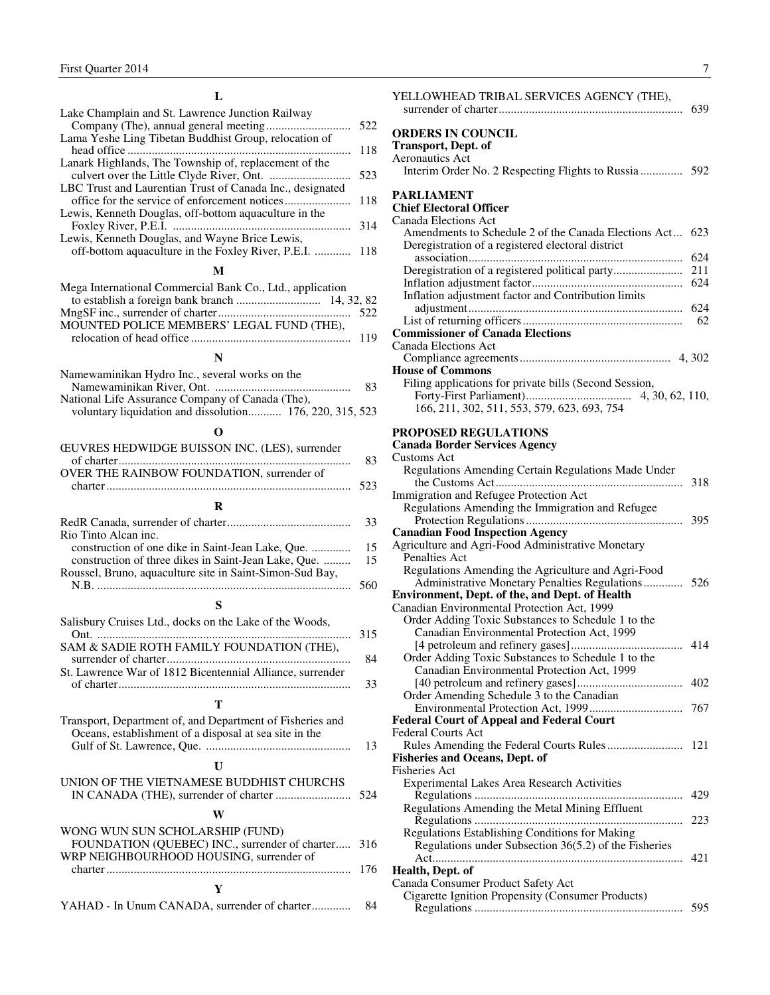<span id="page-8-0"></span>

| Lake Champlain and St. Lawrence Junction Railway          |     |
|-----------------------------------------------------------|-----|
|                                                           | 522 |
| Lama Yeshe Ling Tibetan Buddhist Group, relocation of     |     |
|                                                           | 118 |
| Lanark Highlands, The Township of, replacement of the     |     |
|                                                           | 523 |
| LBC Trust and Laurentian Trust of Canada Inc., designated |     |
|                                                           | 118 |
| Lewis, Kenneth Douglas, off-bottom aquaculture in the     |     |
|                                                           | 314 |
| Lewis, Kenneth Douglas, and Wayne Brice Lewis,            |     |
| off-bottom aquaculture in the Foxley River, P.E.I.  118   |     |
| М                                                         |     |
| Mega International Commercial Bank Co. Ltd. application   |     |

| Nega international Commercial Bank Co., Ltd., application |  |
|-----------------------------------------------------------|--|
|                                                           |  |
|                                                           |  |
| MOUNTED POLICE MEMBERS' LEGAL FUND (THE),                 |  |
|                                                           |  |

#### **N**

| Namewaminikan Hydro Inc., several works on the           |    |
|----------------------------------------------------------|----|
|                                                          | 83 |
| National Life Assurance Company of Canada (The),         |    |
| voluntary liquidation and dissolution 176, 220, 315, 523 |    |
|                                                          |    |

| O                                                                                                                            |          |
|------------------------------------------------------------------------------------------------------------------------------|----------|
| <b>ŒUVRES HEDWIDGE BUISSON INC. (LES), surrender</b>                                                                         | 83       |
| OVER THE RAINBOW FOUNDATION, surrender of                                                                                    | 523      |
| R                                                                                                                            |          |
| Rio Tinto Alcan inc.                                                                                                         | 33       |
| construction of one dike in Saint-Jean Lake, Que.<br>construction of three dikes in Saint-Jean Lake, Que.                    | 15<br>15 |
| Roussel, Bruno, aquaculture site in Saint-Simon-Sud Bay,                                                                     | 560      |
| S                                                                                                                            |          |
| Salisbury Cruises Ltd., docks on the Lake of the Woods,                                                                      | 315      |
| SAM & SADIE ROTH FAMILY FOUNDATION (THE),<br>St. Lawrence War of 1812 Bicentennial Alliance, surrender                       | 84       |
|                                                                                                                              | 33       |
| т                                                                                                                            |          |
| Transport, Department of, and Department of Fisheries and<br>Oceans, establishment of a disposal at sea site in the          | 13       |
| $\mathbf{U}$                                                                                                                 |          |
| UNION OF THE VIETNAMESE BUDDHIST CHURCHS                                                                                     | 524      |
| W                                                                                                                            |          |
| WONG WUN SUN SCHOLARSHIP (FUND)<br>FOUNDATION (QUEBEC) INC., surrender of charter<br>WRP NEIGHBOURHOOD HOUSING, surrender of | 316      |

| <b>ORDERS IN COUNCIL</b><br><b>Transport, Dept. of</b>   |     |
|----------------------------------------------------------|-----|
| <b>Aeronautics Act</b>                                   |     |
|                                                          |     |
| <b>PARLIAMENT</b>                                        |     |
| <b>Chief Electoral Officer</b>                           |     |
| Canada Elections Act                                     |     |
| Amendments to Schedule 2 of the Canada Elections Act 623 |     |
| Deregistration of a registered electoral district        |     |
|                                                          | 624 |
|                                                          | 211 |
|                                                          | 624 |
| Inflation adjustment factor and Contribution limits      |     |
|                                                          |     |
|                                                          | 62  |
| <b>Commissioner of Canada Elections</b>                  |     |
| Canada Elections Act                                     |     |
|                                                          |     |
| <b>House of Commons</b>                                  |     |
| Filing applications for private bills (Second Session,   |     |
|                                                          |     |

YELLOWHEAD TRIBAL SERVICES AGENCY (THE),

#### **PROPOSED REGULATIONS**

166, 211, 302, 511, 553, 579, 623, 693, 754

#### **Canada Border Services Agency**

| <b>Customs Act</b>                                       |     |
|----------------------------------------------------------|-----|
| Regulations Amending Certain Regulations Made Under      |     |
|                                                          | 318 |
| Immigration and Refugee Protection Act                   |     |
| Regulations Amending the Immigration and Refugee         |     |
|                                                          | 395 |
| <b>Canadian Food Inspection Agency</b>                   |     |
| Agriculture and Agri-Food Administrative Monetary        |     |
| Penalties Act                                            |     |
| Regulations Amending the Agriculture and Agri-Food       |     |
| Administrative Monetary Penalties Regulations            | 526 |
| <b>Environment, Dept. of the, and Dept. of Health</b>    |     |
| Canadian Environmental Protection Act, 1999              |     |
| Order Adding Toxic Substances to Schedule 1 to the       |     |
| Canadian Environmental Protection Act, 1999              |     |
|                                                          | 414 |
| Order Adding Toxic Substances to Schedule 1 to the       |     |
| Canadian Environmental Protection Act, 1999              |     |
|                                                          |     |
| Order Amending Schedule 3 to the Canadian                |     |
|                                                          |     |
| <b>Federal Court of Appeal and Federal Court</b>         |     |
| <b>Federal Courts Act</b>                                |     |
|                                                          | 121 |
| <b>Fisheries and Oceans, Dept. of</b>                    |     |
| <b>Fisheries Act</b>                                     |     |
| Experimental Lakes Area Research Activities              |     |
| Regulations                                              | 429 |
| Regulations Amending the Metal Mining Effluent           |     |
| .                                                        | 223 |
| Regulations Establishing Conditions for Making           |     |
| Regulations under Subsection $36(5.2)$ of the Fisheries  |     |
|                                                          | 421 |
| Health, Dept. of                                         |     |
| Canada Consumer Product Safety Act                       |     |
| <b>Cigarette Ignition Propensity (Consumer Products)</b> |     |
|                                                          | 595 |
|                                                          |     |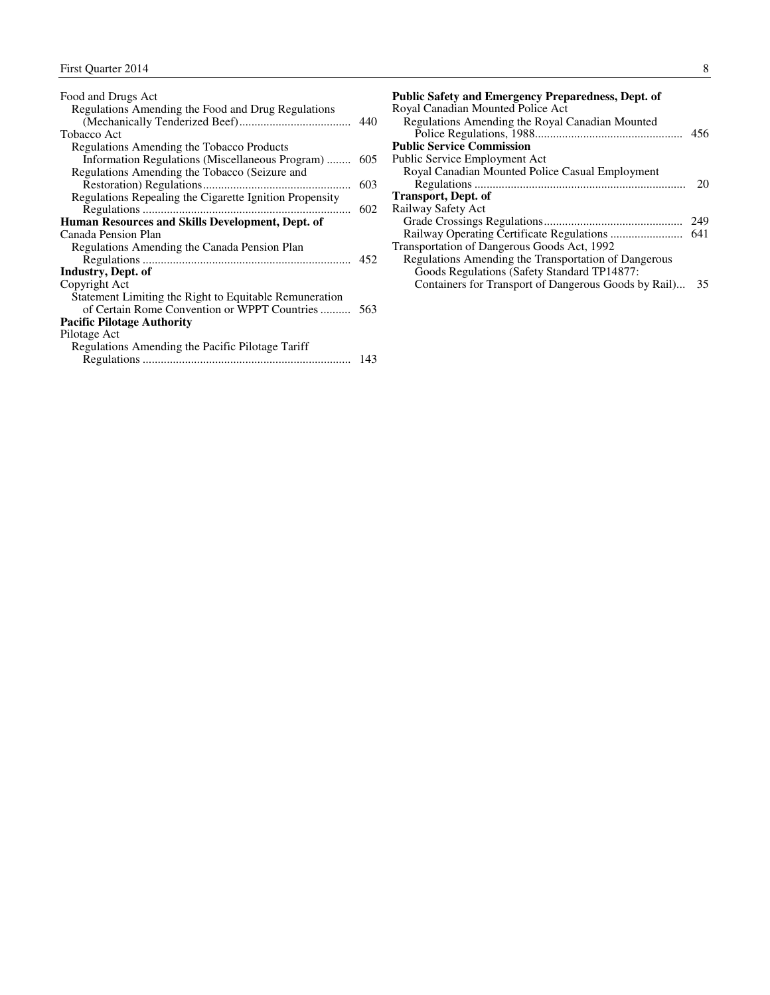| Food and Drugs Act                                      |     |
|---------------------------------------------------------|-----|
| Regulations Amending the Food and Drug Regulations      |     |
|                                                         | 440 |
| <b>Tobacco Act</b>                                      |     |
| Regulations Amending the Tobacco Products               |     |
| Information Regulations (Miscellaneous Program)         | 605 |
| Regulations Amending the Tobacco (Seizure and           |     |
|                                                         | 603 |
| Regulations Repealing the Cigarette Ignition Propensity |     |
|                                                         | 602 |
| Human Resources and Skills Development, Dept. of        |     |
| Canada Pension Plan                                     |     |
| Regulations Amending the Canada Pension Plan            |     |
|                                                         |     |
| Industry, Dept. of                                      |     |
| Copyright Act                                           |     |
| Statement Limiting the Right to Equitable Remuneration  |     |
| of Certain Rome Convention or WPPT Countries            | 563 |
| <b>Pacific Pilotage Authority</b>                       |     |
| Pilotage Act                                            |     |
| Regulations Amending the Pacific Pilotage Tariff        |     |
|                                                         | 143 |
|                                                         |     |

| <b>Public Safety and Emergency Preparedness, Dept. of</b> |     |
|-----------------------------------------------------------|-----|
| Royal Canadian Mounted Police Act                         |     |
| Regulations Amending the Royal Canadian Mounted           |     |
|                                                           |     |
| <b>Public Service Commission</b>                          |     |
| Public Service Employment Act                             |     |
| Royal Canadian Mounted Police Casual Employment           |     |
|                                                           | 20  |
| <b>Transport, Dept. of</b>                                |     |
| Railway Safety Act                                        |     |
|                                                           | 249 |
|                                                           | 641 |
| Transportation of Dangerous Goods Act, 1992               |     |
| Regulations Amending the Transportation of Dangerous      |     |
| Goods Regulations (Safety Standard TP14877:               |     |
| Containers for Transport of Dangerous Goods by Rail) 35   |     |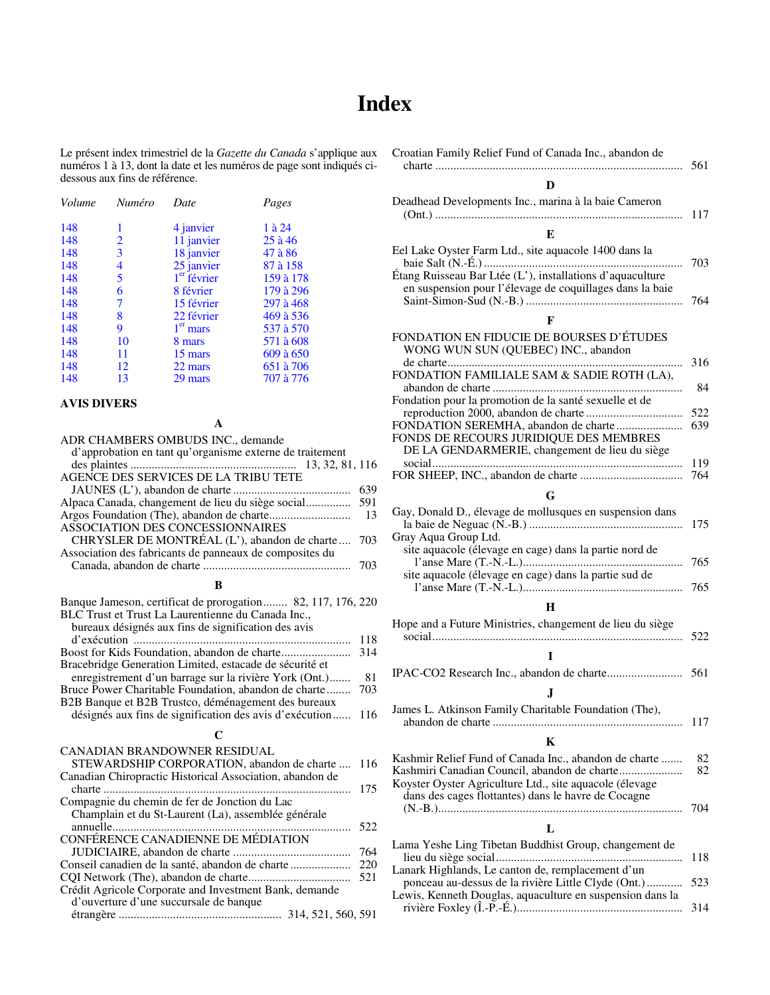### **Index**

<span id="page-10-0"></span>Le présent index trimestriel de la *Gazette du Canada* s'applique aux numéros 1 à 13, dont la date et les numéros de page sont indiqués cidessous aux fins de référence.

| Volume | Numéro | Date                    | Pages     |
|--------|--------|-------------------------|-----------|
| 148    | 1      | 4 janvier               | 1 à 24    |
| 148    | 2      | 11 janvier              | $25$ à 46 |
| 148    | 3      | 18 janvier              | 47 à 86   |
| 148    | 4      | 25 janvier              | 87 à 158  |
| 148    | 5      | 1 <sup>er</sup> février | 159 à 178 |
| 148    | 6      | 8 février               | 179 à 296 |
| 148    | 7      | 15 février              | 297 à 468 |
| 148    | 8      | 22 février              | 469 à 536 |
| 148    | 9      | $1er$ mars              | 537 à 570 |
| 148    | 10     | 8 mars                  | 571 à 608 |
| 148    | 11     | 15 mars                 | 609 à 650 |
| 148    | 12     | 22 mars                 | 651 à 706 |
| 148    | 13     | 29 mars                 | 707 à 776 |

#### **AVIS DIVERS**

| A                                                           |     |
|-------------------------------------------------------------|-----|
| ADR CHAMBERS OMBUDS INC., demande                           |     |
| d'approbation en tant qu'organisme externe de traitement    |     |
| 13, 32, 81, 116                                             |     |
| AGENCE DES SERVICES DE LA TRIBU TETE                        |     |
|                                                             | 639 |
| Alpaca Canada, changement de lieu du siège social           | 591 |
|                                                             | 13  |
| ASSOCIATION DES CONCESSIONNAIRES                            |     |
| CHRYSLER DE MONTRÉAL (L'), abandon de charte                | 703 |
| Association des fabricants de panneaux de composites du     |     |
|                                                             | 703 |
|                                                             |     |
| B                                                           |     |
| Banque Jameson, certificat de prorogation 82, 117, 176, 220 |     |
| BLC Trust et Trust La Laurentienne du Canada Inc.,          |     |
| bureaux désignés aux fins de signification des avis         |     |
|                                                             | 118 |
| Boost for Kids Foundation, abandon de charte                | 314 |
| Bracebridge Generation Limited, estacade de sécurité et     |     |
| enregistrement d'un barrage sur la rivière York (Ont.)      | 81  |
| Bruce Power Charitable Foundation, abandon de charte        | 703 |
| B2B Banque et B2B Trustco, déménagement des bureaux         |     |
| désignés aux fins de signification des avis d'exécution     | 116 |
| C                                                           |     |
| CANADIAN BRANDOWNER RESIDUAL                                |     |
| STEWARDSHIP CORPORATION, abandon de charte                  | 116 |
| Canadian Chiropractic Historical Association, abandon de    |     |
| .                                                           | 175 |
| Compagnie du chemin de fer de Jonction du Lac               |     |
| Champlain et du St-Laurent (La), assemblée générale         |     |
| .                                                           | 522 |
| CONFÉRENCE CANADIENNE DE MÉDIATION                          |     |
|                                                             | 764 |
| Conseil canadien de la santé, abandon de charte             | 220 |
|                                                             | 521 |
| Crédit Agricole Corporate and Investment Bank, demande      |     |
| d'ouverture d'une succursale de banque                      |     |
|                                                             |     |

| Croatian Family Relief Fund of Canada Inc., abandon de                                                                                                                                                                  | 561        |
|-------------------------------------------------------------------------------------------------------------------------------------------------------------------------------------------------------------------------|------------|
| D                                                                                                                                                                                                                       |            |
| Deadhead Developments Inc., marina à la baie Cameron                                                                                                                                                                    | 117        |
| E                                                                                                                                                                                                                       |            |
| Eel Lake Oyster Farm Ltd., site aquacole 1400 dans la<br>Étang Ruisseau Bar Ltée (L'), installations d'aquaculture<br>en suspension pour l'élevage de coquillages dans la baie                                          | 703        |
|                                                                                                                                                                                                                         | 764        |
| F                                                                                                                                                                                                                       |            |
| FONDATION EN FIDUCIE DE BOURSES D'ÉTUDES<br>WONG WUN SUN (QUEBEC) INC., abandon                                                                                                                                         |            |
| FONDATION FAMILIALE SAM & SADIE ROTH (LA),                                                                                                                                                                              | 316        |
| Fondation pour la promotion de la santé sexuelle et de                                                                                                                                                                  | 84         |
| FONDATION SEREMHA, abandon de charte<br>FONDS DE RECOURS JURIDIQUE DES MEMBRES<br>DE LA GENDARMERIE, changement de lieu du siège                                                                                        | 522<br>639 |
|                                                                                                                                                                                                                         | 119<br>764 |
| G                                                                                                                                                                                                                       |            |
| Gay, Donald D., élevage de mollusques en suspension dans                                                                                                                                                                |            |
| Gray Aqua Group Ltd.<br>site aquacole (élevage en cage) dans la partie nord de                                                                                                                                          | 175        |
| site aquacole (élevage en cage) dans la partie sud de                                                                                                                                                                   | 765<br>765 |
| н                                                                                                                                                                                                                       |            |
| Hope and a Future Ministries, changement de lieu du siège                                                                                                                                                               |            |
|                                                                                                                                                                                                                         | 522        |
| T                                                                                                                                                                                                                       |            |
|                                                                                                                                                                                                                         | 561        |
| J.                                                                                                                                                                                                                      |            |
| James L. Atkinson Family Charitable Foundation (The),                                                                                                                                                                   | 117        |
| K                                                                                                                                                                                                                       |            |
| Kashmir Relief Fund of Canada Inc., abandon de charte<br>Kashmiri Canadian Council, abandon de charte<br>Koyster Oyster Agriculture Ltd., site aquacole (élevage<br>dans des cages flottantes) dans le havre de Cocagne | 82<br>82   |
|                                                                                                                                                                                                                         | 704        |
| L                                                                                                                                                                                                                       |            |
| Lama Yeshe Ling Tibetan Buddhist Group, changement de                                                                                                                                                                   | 118        |
| Lanark Highlands, Le canton de, remplacement d'un<br>ponceau au-dessus de la rivière Little Clyde (Ont.)<br>Lewis, Kenneth Douglas, aquaculture en suspension dans la                                                   | 523        |
|                                                                                                                                                                                                                         | 314        |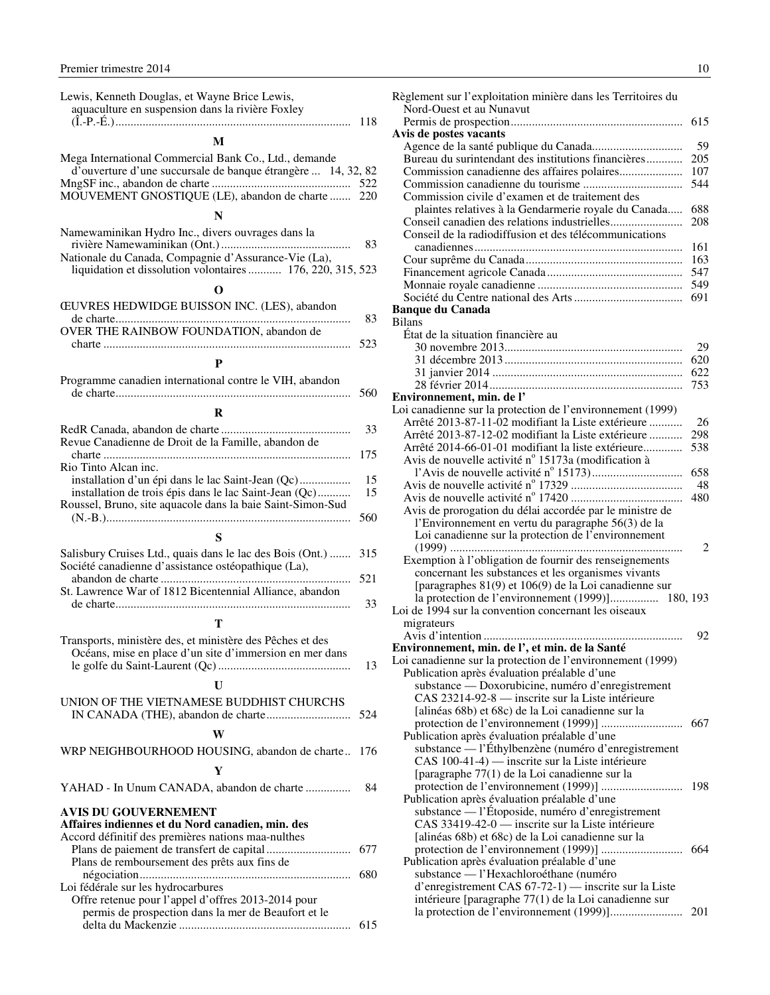<span id="page-11-0"></span>

| Lewis, Kenneth Douglas, et Wayne Brice Lewis,<br>aquaculture en suspension dans la rivière Foxley                                                                       |            |
|-------------------------------------------------------------------------------------------------------------------------------------------------------------------------|------------|
|                                                                                                                                                                         | 118        |
| M                                                                                                                                                                       |            |
| Mega International Commercial Bank Co., Ltd., demande<br>d'ouverture d'une succursale de banque étrangère  14, 32, 82<br>MOUVEMENT GNOSTIQUE (LE), abandon de charte    | 522<br>220 |
| N                                                                                                                                                                       |            |
| Namewaminikan Hydro Inc., divers ouvrages dans la<br>Nationale du Canada, Compagnie d'Assurance-Vie (La),<br>liquidation et dissolution volontaires  176, 220, 315, 523 | 83         |
| O                                                                                                                                                                       |            |
| ŒUVRES HEDWIDGE BUISSON INC. (LES), abandon                                                                                                                             | 83         |
| OVER THE RAINBOW FOUNDATION, abandon de                                                                                                                                 | 523        |
| P                                                                                                                                                                       |            |
| Programme canadien international contre le VIH, abandon                                                                                                                 | 560        |
| R                                                                                                                                                                       |            |
|                                                                                                                                                                         | 33         |
| Revue Canadienne de Droit de la Famille, abandon de                                                                                                                     | 175        |
| Rio Tinto Alcan inc.<br>installation d'un épi dans le lac Saint-Jean (Qc)                                                                                               | 15         |
| installation de trois épis dans le lac Saint-Jean (Qc)<br>Roussel, Bruno, site aquacole dans la baie Saint-Simon-Sud                                                    | 15         |
| S                                                                                                                                                                       | 560        |
| Salisbury Cruises Ltd., quais dans le lac des Bois (Ont.)                                                                                                               | 315        |
| Société canadienne d'assistance ostéopathique (La),                                                                                                                     | 521        |
| St. Lawrence War of 1812 Bicentennial Alliance, abandon                                                                                                                 | 33         |
| т                                                                                                                                                                       |            |
| Transports, ministère des, et ministère des Pêches et des<br>Océans, mise en place d'un site d'immersion en mer dans<br>U                                               | 13         |
| UNION OF THE VIETNAMESE BUDDHIST CHURCHS                                                                                                                                | 524        |
| W                                                                                                                                                                       |            |
| WRP NEIGHBOURHOOD HOUSING, abandon de charte                                                                                                                            | 176        |
| Y                                                                                                                                                                       |            |
| YAHAD - In Unum CANADA, abandon de charte                                                                                                                               | 84         |
| <b>AVIS DU GOUVERNEMENT</b><br>Affaires indiennes et du Nord canadien, min. des<br>Accord définitif des premières nations maa-nulthes                                   |            |
|                                                                                                                                                                         | 677        |
| Plans de remboursement des prêts aux fins de                                                                                                                            | 680        |
| Loi fédérale sur les hydrocarbures                                                                                                                                      |            |
| Offre retenue pour l'appel d'offres 2013-2014 pour<br>permis de prospection dans la mer de Beaufort et le                                                               | 615        |
|                                                                                                                                                                         |            |

| Règlement sur l'exploitation minière dans les Territoires du                                              |            |
|-----------------------------------------------------------------------------------------------------------|------------|
| Nord-Ouest et au Nunavut                                                                                  |            |
| Avis de postes vacants                                                                                    | 615        |
|                                                                                                           | 59         |
| Bureau du surintendant des institutions financières                                                       | 205<br>107 |
|                                                                                                           | 544        |
| Commission civile d'examen et de traitement des                                                           |            |
| plaintes relatives à la Gendarmerie royale du Canada                                                      | 688        |
|                                                                                                           | 208        |
| Conseil de la radiodiffusion et des télécommunications                                                    |            |
|                                                                                                           | 161        |
|                                                                                                           | 163<br>547 |
|                                                                                                           | 549        |
|                                                                                                           | 691        |
| <b>Banque du Canada</b>                                                                                   |            |
| <b>Bilans</b>                                                                                             |            |
| État de la situation financière au                                                                        |            |
|                                                                                                           | 29<br>620  |
|                                                                                                           | 622        |
|                                                                                                           | 753        |
| Environnement, min. de l'                                                                                 |            |
| Loi canadienne sur la protection de l'environnement (1999)                                                |            |
| Arrêté 2013-87-11-02 modifiant la Liste extérieure                                                        | 26         |
| Arrêté 2013-87-12-02 modifiant la Liste extérieure                                                        | 298        |
| Arrêté 2014-66-01-01 modifiant la liste extérieure<br>Avis de nouvelle activité n° 15173a (modification à | 538        |
|                                                                                                           | 658        |
|                                                                                                           | 48         |
|                                                                                                           | 480        |
| Avis de prorogation du délai accordée par le ministre de                                                  |            |
| l'Environnement en vertu du paragraphe 56(3) de la                                                        |            |
| Loi canadienne sur la protection de l'environnement                                                       |            |
| Exemption à l'obligation de fournir des renseignements                                                    | 2          |
| concernant les substances et les organismes vivants                                                       |            |
| [paragraphes 81(9) et 106(9) de la Loi canadienne sur                                                     |            |
| la protection de l'environnement (1999)]                                                                  | 180, 193   |
| Loi de 1994 sur la convention concernant les oiseaux                                                      |            |
| migrateurs                                                                                                |            |
| Environnement, min. de l', et min. de la Santé                                                            | 92         |
| Loi canadienne sur la protection de l'environnement (1999)                                                |            |
| Publication après évaluation préalable d'une                                                              |            |
| substance — Doxorubicine, numéro d'enregistrement                                                         |            |
| CAS 23214-92-8 — inscrite sur la Liste intérieure                                                         |            |
| [alinéas 68b) et 68c) de la Loi canadienne sur la                                                         |            |
|                                                                                                           |            |
| Publication après évaluation préalable d'une<br>substance — l'Éthylbenzène (numéro d'enregistrement       |            |
| CAS 100-41-4) — inscrite sur la Liste intérieure                                                          |            |
| [paragraphe 77(1) de la Loi canadienne sur la                                                             |            |
|                                                                                                           | 198        |
| Publication après évaluation préalable d'une                                                              |            |
| substance — l'Étoposide, numéro d'enregistrement                                                          |            |
| CAS 33419-42-0 — inscrite sur la Liste intérieure<br>[alinéas 68b) et 68c) de la Loi canadienne sur la    |            |
|                                                                                                           | 664        |
| Publication après évaluation préalable d'une                                                              |            |
| substance — l'Hexachloroéthane (numéro                                                                    |            |
| d'enregistrement CAS 67-72-1) — inscrite sur la Liste                                                     |            |

intérieure [paragraphe 77(1) de la Loi canadienne sur la protection de l'environnement (1999)]........................ 201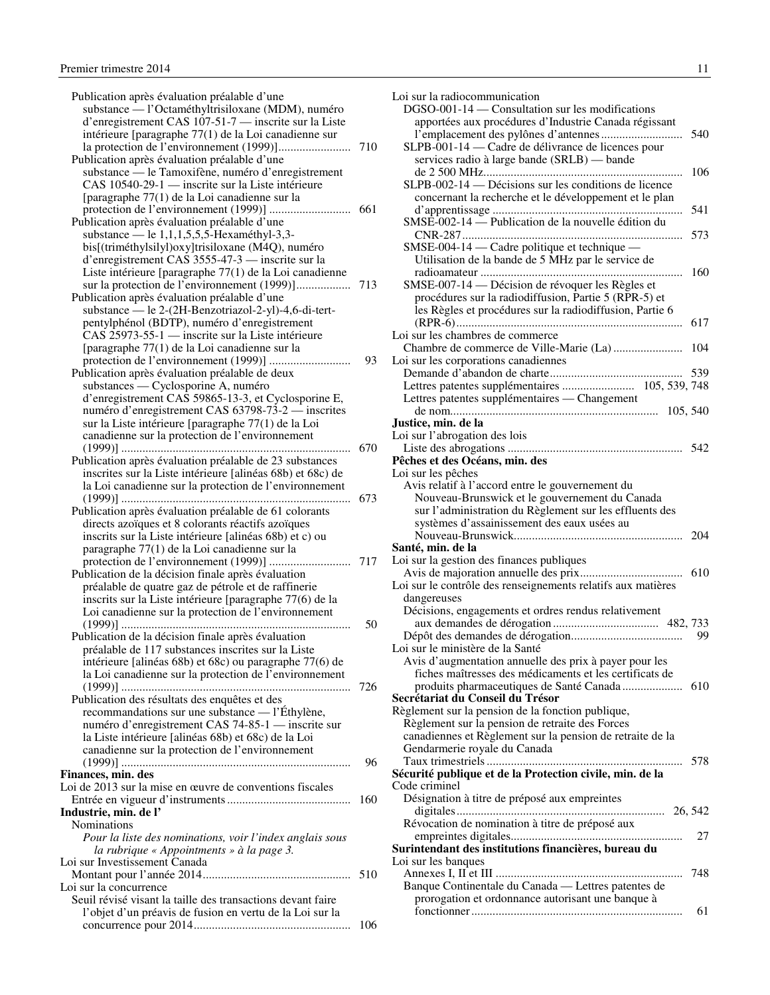| Publication après évaluation préalable d'une                                                                                                    |     |
|-------------------------------------------------------------------------------------------------------------------------------------------------|-----|
| substance — l'Octaméthyltrisiloxane (MDM), numéro                                                                                               |     |
| d'enregistrement CAS 107-51-7 — inscrite sur la Liste                                                                                           |     |
| intérieure [paragraphe 77(1) de la Loi canadienne sur                                                                                           |     |
|                                                                                                                                                 | 710 |
| Publication après évaluation préalable d'une                                                                                                    |     |
|                                                                                                                                                 |     |
| substance — le Tamoxifène, numéro d'enregistrement                                                                                              |     |
| CAS 10540-29-1 — inscrite sur la Liste intérieure                                                                                               |     |
| [paragraphe 77(1) de la Loi canadienne sur la                                                                                                   |     |
|                                                                                                                                                 |     |
| Publication après évaluation préalable d'une                                                                                                    |     |
| substance — le 1,1,1,5,5,5-Hexaméthyl-3,3-                                                                                                      |     |
| bis[(triméthylsilyl)oxy]trisiloxane (M4Q), numéro                                                                                               |     |
| d'enregistrement CAS 3555-47-3 — inscrite sur la                                                                                                |     |
| Liste intérieure [paragraphe 77(1) de la Loi canadienne                                                                                         |     |
|                                                                                                                                                 | 713 |
| Publication après évaluation préalable d'une                                                                                                    |     |
|                                                                                                                                                 |     |
| substance — le 2-(2H-Benzotriazol-2-yl)-4,6-di-tert-                                                                                            |     |
| pentylphénol (BDTP), numéro d'enregistrement                                                                                                    |     |
| CAS 25973-55-1 — inscrite sur la Liste intérieure                                                                                               |     |
| [paragraphe 77(1) de la Loi canadienne sur la                                                                                                   |     |
|                                                                                                                                                 | 93  |
| Publication après évaluation préalable de deux                                                                                                  |     |
| substances — Cyclosporine A, numéro                                                                                                             |     |
| d'enregistrement CAS 59865-13-3, et Cyclosporine E,                                                                                             |     |
| numéro d'enregistrement CAS 63798-73-2 — inscrites                                                                                              |     |
| sur la Liste intérieure [paragraphe 77(1) de la Loi                                                                                             |     |
| canadienne sur la protection de l'environnement                                                                                                 |     |
|                                                                                                                                                 |     |
|                                                                                                                                                 | 670 |
| Publication après évaluation préalable de 23 substances                                                                                         |     |
| inscrites sur la Liste intérieure [alinéas 68b) et 68c) de                                                                                      |     |
| la Loi canadienne sur la protection de l'environnement                                                                                          |     |
|                                                                                                                                                 | 673 |
| Publication après évaluation préalable de 61 colorants                                                                                          |     |
| directs azoïques et 8 colorants réactifs azoïques                                                                                               |     |
| inscrits sur la Liste intérieure [alinéas 68b) et c) ou                                                                                         |     |
| paragraphe 77(1) de la Loi canadienne sur la                                                                                                    |     |
|                                                                                                                                                 | 717 |
| Publication de la décision finale après évaluation                                                                                              |     |
| préalable de quatre gaz de pétrole et de raffinerie                                                                                             |     |
| inscrits sur la Liste intérieure [paragraphe 77(6) de la                                                                                        |     |
| Loi canadienne sur la protection de l'environnement                                                                                             |     |
|                                                                                                                                                 | 50  |
|                                                                                                                                                 |     |
| Publication de la décision finale après évaluation                                                                                              |     |
| préalable de 117 substances inscrites sur la Liste                                                                                              |     |
| intérieure [alinéas 68b) et 68c) ou paragraphe 77(6) de                                                                                         |     |
|                                                                                                                                                 |     |
| la Loi canadienne sur la protection de l'environnement                                                                                          |     |
|                                                                                                                                                 | 726 |
| Publication des résultats des enquêtes et des                                                                                                   |     |
|                                                                                                                                                 |     |
| recommandations sur une substance — l'Éthylène,                                                                                                 |     |
| numéro d'enregistrement CAS 74-85-1 — inscrite sur                                                                                              |     |
| la Liste intérieure [alinéas 68b) et 68c) de la Loi                                                                                             |     |
| canadienne sur la protection de l'environnement                                                                                                 |     |
|                                                                                                                                                 | 96  |
| Finances, min. des                                                                                                                              |     |
| Loi de 2013 sur la mise en œuvre de conventions fiscales                                                                                        |     |
|                                                                                                                                                 | 160 |
|                                                                                                                                                 |     |
| Nominations                                                                                                                                     |     |
| Pour la liste des nominations, voir l'index anglais sous                                                                                        |     |
| la rubrique « Appointments » à la page 3.                                                                                                       |     |
|                                                                                                                                                 |     |
|                                                                                                                                                 | 510 |
|                                                                                                                                                 |     |
| Industrie, min. de l'<br>Loi sur Investissement Canada<br>Loi sur la concurrence<br>Seuil révisé visant la taille des transactions devant faire |     |
| l'objet d'un préavis de fusion en vertu de la Loi sur la                                                                                        |     |

| Loi sur la radiocommunication                                                                             |     |
|-----------------------------------------------------------------------------------------------------------|-----|
| DGSO-001-14 - Consultation sur les modifications<br>apportées aux procédures d'Industrie Canada régissant |     |
| SLPB-001-14 — Cadre de délivrance de licences pour<br>services radio à large bande (SRLB) — bande         | 540 |
| SLPB-002-14 — Décisions sur les conditions de licence                                                     | 106 |
| concernant la recherche et le développement et le plan                                                    | 541 |
| $SMSE-002-14$ — Publication de la nouvelle édition du                                                     | 573 |
| SMSE-004-14 — Cadre politique et technique —<br>Utilisation de la bande de 5 MHz par le service de        |     |
| SMSE-007-14 — Décision de révoquer les Règles et<br>procédures sur la radiodiffusion, Partie 5 (RPR-5) et | 160 |
| les Règles et procédures sur la radiodiffusion, Partie 6                                                  | 617 |
| Loi sur les chambres de commerce                                                                          |     |
| Loi sur les corporations canadiennes                                                                      |     |
|                                                                                                           |     |
| Lettres patentes supplémentaires — Changement                                                             |     |
| Justice, min. de la<br>Loi sur l'abrogation des lois                                                      |     |
|                                                                                                           |     |
| Pêches et des Océans, min. des<br>Loi sur les pêches                                                      |     |
| Avis relatif à l'accord entre le gouvernement du                                                          |     |
| Nouveau-Brunswick et le gouvernement du Canada                                                            |     |
| sur l'administration du Règlement sur les effluents des                                                   |     |
| systèmes d'assainissement des eaux usées au                                                               | 204 |
| Santé, min. de la                                                                                         |     |
| Loi sur la gestion des finances publiques                                                                 | 610 |
| Loi sur le contrôle des renseignements relatifs aux matières                                              |     |
| dangereuses                                                                                               |     |
| Décisions, engagements et ordres rendus relativement                                                      |     |
|                                                                                                           | 99  |
| Loi sur le ministère de la Santé                                                                          |     |
| Avis d'augmentation annuelle des prix à payer pour les                                                    |     |
| fiches maîtresses des médicaments et les certificats de                                                   |     |
| Secrétariat du Conseil du Trésor                                                                          |     |
| Règlement sur la pension de la fonction publique,<br>Règlement sur la pension de retraite des Forces      |     |
| canadiennes et Règlement sur la pension de retraite de la                                                 |     |
| Gendarmerie royale du Canada                                                                              |     |
|                                                                                                           | 578 |
| Sécurité publique et de la Protection civile, min. de la                                                  |     |
| Code criminel                                                                                             |     |
| Désignation à titre de préposé aux empreintes                                                             |     |
|                                                                                                           |     |
| Révocation de nomination à titre de préposé aux                                                           |     |
|                                                                                                           | 27  |
| Surintendant des institutions financières, bureau du<br>Loi sur les banques                               |     |
|                                                                                                           | 748 |
| Banque Continentale du Canada — Lettres patentes de                                                       |     |
| prorogation et ordonnance autorisant une banque à                                                         |     |
|                                                                                                           | 61  |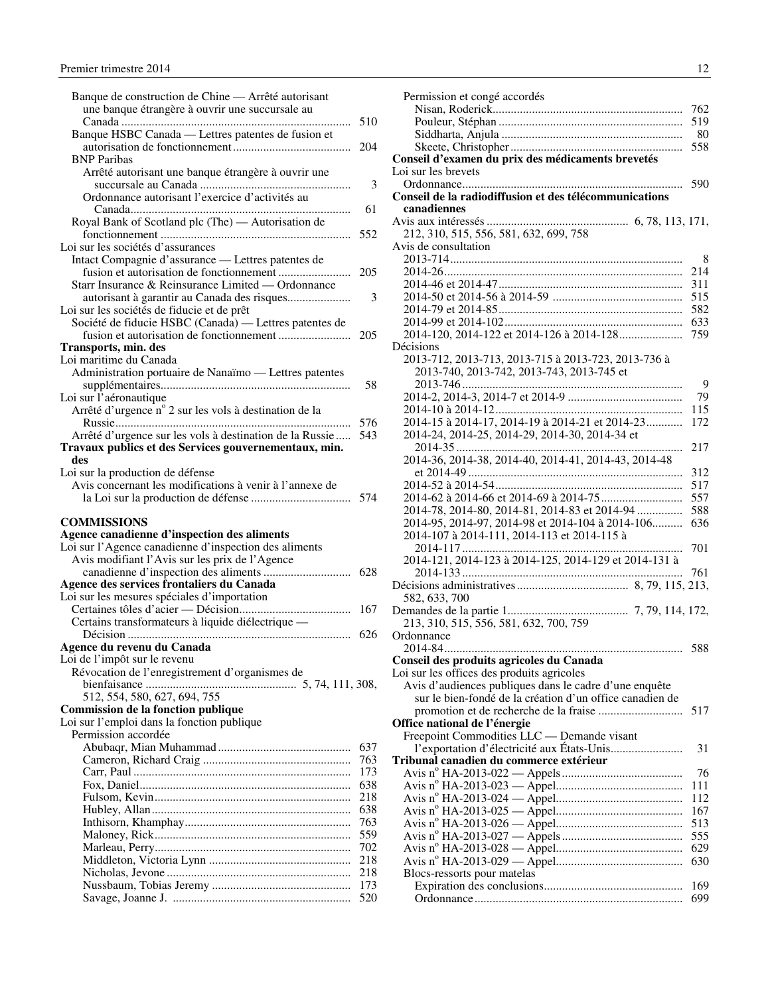<span id="page-13-0"></span>

| Banque de construction de Chine — Arrêté autorisant      |            |
|----------------------------------------------------------|------------|
| une banque étrangère à ouvrir une succursale au          |            |
|                                                          | 510        |
| Banque HSBC Canada — Lettres patentes de fusion et       | 204        |
| <b>BNP</b> Paribas                                       |            |
| Arrêté autorisant une banque étrangère à ouvrir une      |            |
|                                                          | 3          |
| Ordonnance autorisant l'exercice d'activités au          |            |
|                                                          | 61         |
| Royal Bank of Scotland plc (The) - Autorisation de       |            |
|                                                          | 552        |
| Loi sur les sociétés d'assurances                        |            |
| Intact Compagnie d'assurance - Lettres patentes de       |            |
|                                                          | 205        |
| Starr Insurance & Reinsurance Limited — Ordonnance       |            |
| autorisant à garantir au Canada des risques              | 3          |
|                                                          |            |
| Loi sur les sociétés de fiducie et de prêt               |            |
| Société de fiducie HSBC (Canada) — Lettres patentes de   |            |
|                                                          | 205        |
| <b>Transports, min. des</b>                              |            |
| Loi maritime du Canada                                   |            |
| Administration portuaire de Nanaïmo - Lettres patentes   |            |
|                                                          | 58         |
| Loi sur l'aéronautique                                   |            |
| Arrêté d'urgence n° 2 sur les vols à destination de la   |            |
|                                                          | 576        |
| Arrêté d'urgence sur les vols à destination de la Russie | 543        |
| Travaux publics et des Services gouvernementaux, min.    |            |
| des                                                      |            |
| Loi sur la production de défense                         |            |
| Avis concernant les modifications à venir à l'annexe de  |            |
|                                                          |            |
|                                                          |            |
| <b>COMMISSIONS</b>                                       |            |
| Agence canadienne d'inspection des aliments              |            |
| Loi sur l'Agence canadienne d'inspection des aliments    |            |
| Avis modifiant l'Avis sur les prix de l'Agence           |            |
|                                                          |            |
| Agence des services frontaliers du Canada                |            |
| Loi sur les mesures spéciales d'importation              |            |
|                                                          |            |
| Certains transformateurs à liquide diélectrique —        |            |
|                                                          | 626        |
| Agence du revenu du Canada                               |            |
| Loi de l'impôt sur le revenu                             |            |
| Révocation de l'enregistrement d'organismes de           |            |
|                                                          |            |
| 512, 554, 580, 627, 694, 755                             |            |
| Commission de la fonction publique                       |            |
| Loi sur l'emploi dans la fonction publique               |            |
| Permission accordée                                      |            |
|                                                          | 637        |
|                                                          | 763        |
|                                                          | 173        |
|                                                          | 638        |
|                                                          | 218        |
|                                                          | 638        |
|                                                          | 763        |
|                                                          | 559        |
|                                                          |            |
|                                                          |            |
|                                                          | 702        |
|                                                          | 218        |
|                                                          | 218        |
|                                                          | 173<br>520 |

| Permission et congé accordés                             |            |
|----------------------------------------------------------|------------|
|                                                          | 762        |
|                                                          | 519        |
|                                                          | 80         |
|                                                          | 558        |
| Conseil d'examen du prix des médicaments brevetés        |            |
| Loi sur les brevets                                      |            |
|                                                          | 590        |
| Conseil de la radiodiffusion et des télécommunications   |            |
| canadiennes                                              |            |
|                                                          |            |
| 212, 310, 515, 556, 581, 632, 699, 758                   |            |
| Avis de consultation                                     |            |
|                                                          | 8          |
|                                                          |            |
|                                                          | 214        |
|                                                          | 311        |
|                                                          | 515        |
|                                                          | 582        |
|                                                          | 633        |
| 2014-120, 2014-122 et 2014-126 à 2014-128                | 759        |
| Décisions                                                |            |
| 2013-712, 2013-713, 2013-715 à 2013-723, 2013-736 à      |            |
| 2013-740, 2013-742, 2013-743, 2013-745 et                |            |
|                                                          | 9          |
|                                                          | 79         |
|                                                          | 115        |
| 2014-15 à 2014-17, 2014-19 à 2014-21 et 2014-23          | 172        |
| 2014-24, 2014-25, 2014-29, 2014-30, 2014-34 et           |            |
|                                                          |            |
|                                                          | 217        |
| 2014-36, 2014-38, 2014-40, 2014-41, 2014-43, 2014-48     |            |
|                                                          | 312        |
|                                                          | 517        |
|                                                          | 557        |
| 2014-78, 2014-80, 2014-81, 2014-83 et 2014-94            | 588        |
| 2014-95, 2014-97, 2014-98 et 2014-104 à 2014-106         | 636        |
| 2014-107 à 2014-111, 2014-113 et 2014-115 à              |            |
|                                                          | 701        |
| 2014-121, 2014-123 à 2014-125, 2014-129 et 2014-131 à    |            |
|                                                          | 761        |
|                                                          |            |
| 582, 633, 700                                            |            |
|                                                          |            |
| 213, 310, 515, 556, 581, 632, 700, 759                   |            |
| Ordonnance                                               |            |
|                                                          | 588        |
|                                                          |            |
| Conseil des produits agricoles du Canada                 |            |
| Loi sur les offices des produits agricoles               |            |
| Avis d'audiences publiques dans le cadre d'une enquête   |            |
| sur le bien-fondé de la création d'un office canadien de |            |
|                                                          | 517        |
| Office national de l'énergie                             |            |
| Freepoint Commodities LLC — Demande visant               |            |
| l'exportation d'électricité aux États-Unis               | 31         |
| Tribunal canadien du commerce extérieur                  |            |
|                                                          | 76         |
|                                                          | 111        |
|                                                          | 112        |
|                                                          | 167        |
|                                                          | 513        |
|                                                          | 555        |
|                                                          | 629        |
|                                                          |            |
|                                                          |            |
|                                                          | 630        |
| Blocs-ressorts pour matelas                              |            |
|                                                          | 169<br>699 |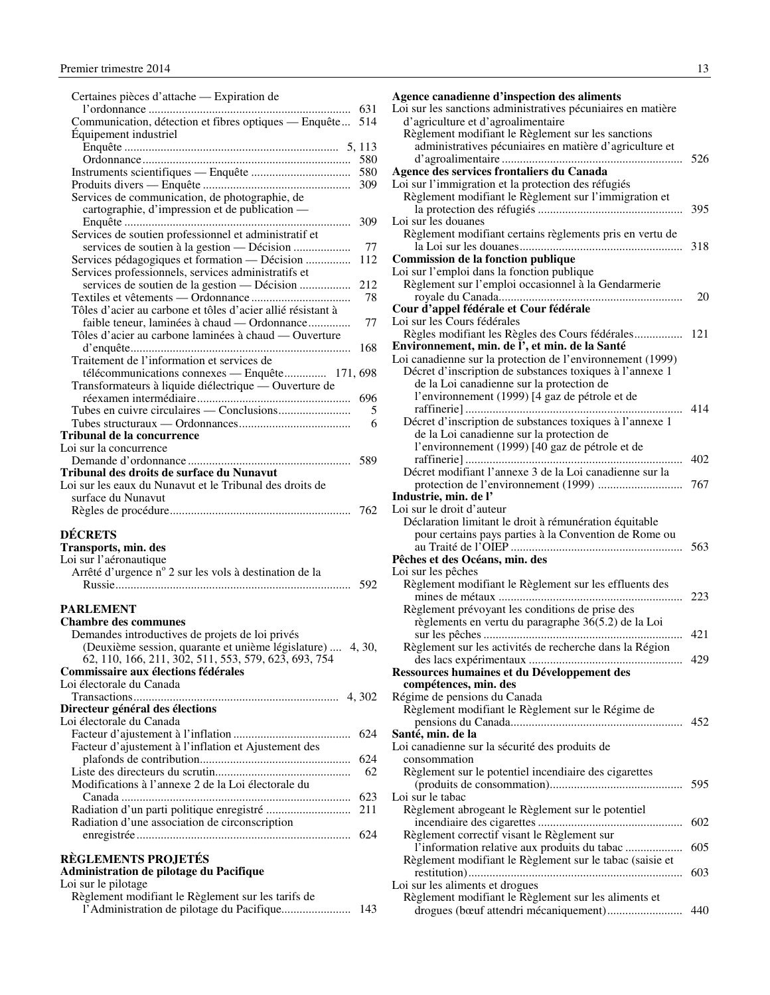<span id="page-14-0"></span>

| Certaines pièces d'attache — Expiration de                                                                    |        |
|---------------------------------------------------------------------------------------------------------------|--------|
| 631                                                                                                           |        |
| Communication, détection et fibres optiques — Enquête<br>514                                                  |        |
| Equipement industriel                                                                                         |        |
| 580                                                                                                           |        |
| 580                                                                                                           |        |
| 309                                                                                                           |        |
| Services de communication, de photographie, de                                                                |        |
| cartographie, d'impression et de publication -                                                                |        |
| 309                                                                                                           |        |
| Services de soutien professionnel et administratif et<br>services de soutien à la gestion — Décision          | 77     |
| Services pédagogiques et formation — Décision<br>112                                                          |        |
| Services professionnels, services administratifs et                                                           |        |
| services de soutien de la gestion — Décision<br>212                                                           |        |
|                                                                                                               | 78     |
| Tôles d'acier au carbone et tôles d'acier allié résistant à                                                   |        |
| faible teneur, laminées à chaud — Ordonnance<br>Tôles d'acier au carbone laminées à chaud — Ouverture         | 77     |
| 168                                                                                                           |        |
| Traitement de l'information et services de                                                                    |        |
| télécommunications connexes — Enquête 171, 698                                                                |        |
| Transformateurs à liquide diélectrique — Ouverture de                                                         |        |
| 696                                                                                                           |        |
|                                                                                                               | 5<br>6 |
| Tribunal de la concurrence                                                                                    |        |
| Loi sur la concurrence                                                                                        |        |
| 589                                                                                                           |        |
| Tribunal des droits de surface du Nunavut                                                                     |        |
| Loi sur les eaux du Nunavut et le Tribunal des droits de<br>surface du Nunavut                                |        |
| 762                                                                                                           |        |
|                                                                                                               |        |
| <b>DÉCRETS</b>                                                                                                |        |
| Transports, min. des                                                                                          |        |
| Loi sur l'aéronautique<br>Arrêté d'urgence n° 2 sur les vols à destination de la                              |        |
| 592                                                                                                           |        |
|                                                                                                               |        |
| <b>PARLEMENT</b>                                                                                              |        |
| <b>Chambre des communes</b>                                                                                   |        |
| Demandes introductives de projets de loi privés<br>(Deuxième session, quarante et unième législature)  4, 30, |        |
| 62, 110, 166, 211, 302, 511, 553, 579, 623, 693, 754                                                          |        |
| Commissaire aux élections fédérales                                                                           |        |
| Loi électorale du Canada                                                                                      |        |
|                                                                                                               |        |
| Directeur général des élections<br>Loi électorale du Canada                                                   |        |
| 624                                                                                                           |        |
| Facteur d'ajustement à l'inflation et Ajustement des                                                          |        |
| 624                                                                                                           |        |
|                                                                                                               | 62     |
| Modifications à l'annexe 2 de la Loi électorale du                                                            |        |
| 623                                                                                                           |        |
| 211<br>Radiation d'une association de circonscription                                                         |        |
| 624                                                                                                           |        |
|                                                                                                               |        |
| <b>RÈGLEMENTS PROJETÉS</b><br>Administration de pilotage du Pacifique                                         |        |

|  | Loi sur le pilotage |  |
|--|---------------------|--|
|  |                     |  |

| Règlement modifiant le Règlement sur les tarifs de |      |
|----------------------------------------------------|------|
|                                                    | -143 |

| Agence canadienne d'inspection des aliments                                                      |     |
|--------------------------------------------------------------------------------------------------|-----|
| Loi sur les sanctions administratives pécuniaires en matière                                     |     |
| d'agriculture et d'agroalimentaire                                                               |     |
| Règlement modifiant le Règlement sur les sanctions                                               |     |
| administratives pécuniaires en matière d'agriculture et                                          |     |
|                                                                                                  | 526 |
| Agence des services frontaliers du Canada<br>Loi sur l'immigration et la protection des réfugiés |     |
|                                                                                                  |     |
| Règlement modifiant le Règlement sur l'immigration et                                            | 395 |
| Loi sur les douanes                                                                              |     |
| Règlement modifiant certains règlements pris en vertu de                                         |     |
|                                                                                                  | 318 |
| Commission de la fonction publique                                                               |     |
| Loi sur l'emploi dans la fonction publique                                                       |     |
| Règlement sur l'emploi occasionnel à la Gendarmerie                                              |     |
|                                                                                                  | 20  |
| Cour d'appel fédérale et Cour fédérale                                                           |     |
| Loi sur les Cours fédérales                                                                      |     |
| Règles modifiant les Règles des Cours fédérales 121                                              |     |
| Environnement, min. de l', et min. de la Santé                                                   |     |
| Loi canadienne sur la protection de l'environnement (1999)                                       |     |
| Décret d'inscription de substances toxiques à l'annexe 1                                         |     |
| de la Loi canadienne sur la protection de                                                        |     |
| l'environnement (1999) [4 gaz de pétrole et de                                                   |     |
|                                                                                                  | 414 |
| Décret d'inscription de substances toxiques à l'annexe 1                                         |     |
| de la Loi canadienne sur la protection de                                                        |     |
| l'environnement (1999) [40 gaz de pétrole et de                                                  |     |
| $\cdots$                                                                                         | 402 |
| Décret modifiant l'annexe 3 de la Loi canadienne sur la                                          | 767 |
|                                                                                                  |     |
| Industrie, min. de l'<br>Loi sur le droit d'auteur                                               |     |
| Déclaration limitant le droit à rémunération équitable                                           |     |
| pour certains pays parties à la Convention de Rome ou                                            |     |
|                                                                                                  | 563 |
| Pêches et des Océans, min. des                                                                   |     |
| Loi sur les pêches                                                                               |     |
| Règlement modifiant le Règlement sur les effluents des                                           |     |
|                                                                                                  |     |
| Règlement prévoyant les conditions de prise des                                                  |     |
| règlements en vertu du paragraphe 36(5.2) de la Loi                                              |     |
|                                                                                                  | 421 |
| Règlement sur les activités de recherche dans la Région                                          |     |
|                                                                                                  |     |
| Ressources humaines et du Développement des                                                      |     |
| compétences, min. des                                                                            |     |
| Régime de pensions du Canada<br>Règlement modifiant le Règlement sur le Régime de                |     |
|                                                                                                  |     |
| Santé, min. de la                                                                                |     |
| Loi canadienne sur la sécurité des produits de                                                   |     |
| consommation                                                                                     |     |
| Règlement sur le potentiel incendiaire des cigarettes                                            |     |
|                                                                                                  | 595 |
| Loi sur le tabac                                                                                 |     |
| Règlement abrogeant le Règlement sur le potentiel                                                |     |
|                                                                                                  | 602 |
|                                                                                                  |     |
| Règlement correctif visant le Règlement sur                                                      | 605 |
| l'information relative aux produits du tabac                                                     |     |
| Règlement modifiant le Règlement sur le tabac (saisie et                                         |     |
|                                                                                                  | 603 |
| Loi sur les aliments et drogues                                                                  |     |
| Règlement modifiant le Règlement sur les aliments et<br>drogues (bœuf attendri mécaniquement)    | 440 |